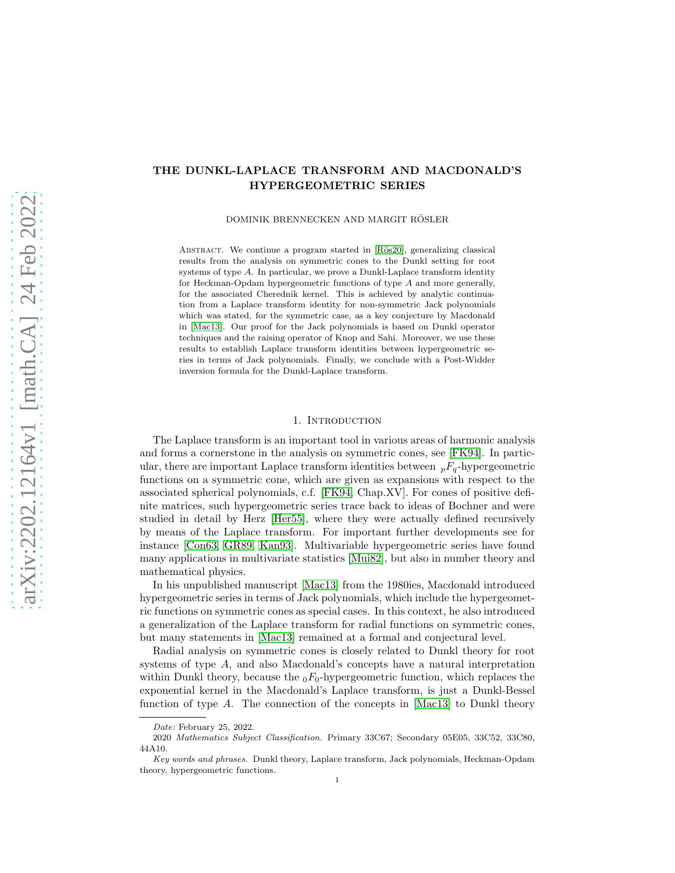# THE DUNKL-LAPLACE TRANSFORM AND MACDONALD'S HYPERGEOMETRIC SERIES

DOMINIK BRENNECKEN AND MARGIT RÖSLER

ABSTRACT. We continue a program started in [Rös20], generalizing classical results from the analysis on symmetric cones to the Dunkl setting for root systems of type A. In particular, we prove a Dunkl-Laplace transform identity for Heckman-Opdam hypergeometric functions of type A and more generally, for the associated Cherednik kernel. This is achieved by analytic continuation from a Laplace transform identity for non-symmetric Jack polynomials which was stated, for the symmetric case, as a key conjecture by Macdonald in [\[Mac13\]](#page-26-1). Our proof for the Jack polynomials is based on Dunkl operator techniques and the raising operator of Knop and Sahi. Moreover, we use these results to establish Laplace transform identities between hypergeometric series in terms of Jack polynomials. Finally, we conclude with a Post-Widder inversion formula for the Dunkl-Laplace transform.

#### 1. INTRODUCTION

The Laplace transform is an important tool in various areas of harmonic analysis and forms a cornerstone in the analysis on symmetric cones, see [\[FK94\]](#page-26-2). In particular, there are important Laplace transform identities between  ${}_{p}F_{q}$ -hypergeometric functions on a symmetric cone, which are given as expansions with respect to the associated spherical polynomials, c.f. [\[FK94,](#page-26-2) Chap.XV]. For cones of positive definite matrices, such hypergeometric series trace back to ideas of Bochner and were studied in detail by Herz [\[Her55\]](#page-26-3), where they were actually defined recursively by means of the Laplace transform. For important further developments see for instance [\[Con63,](#page-26-4) [GR89,](#page-26-5) [Kan93\]](#page-26-6). Multivariable hypergeometric series have found many applications in multivariate statistics [\[Mui82\]](#page-26-7), but also in number theory and mathematical physics.

In his unpublished manuscript [\[Mac13\]](#page-26-1) from the 1980ies, Macdonald introduced hypergeometric series in terms of Jack polynomials, which include the hypergeometric functions on symmetric cones as special cases. In this context, he also introduced a generalization of the Laplace transform for radial functions on symmetric cones, but many statements in [\[Mac13\]](#page-26-1) remained at a formal and conjectural level.

Radial analysis on symmetric cones is closely related to Dunkl theory for root systems of type A, and also Macdonald's concepts have a natural interpretation within Dunkl theory, because the  $_0F_0$ -hypergeometric function, which replaces the exponential kernel in the Macdonald's Laplace transform, is just a Dunkl-Bessel function of type A. The connection of the concepts in  $[Mac13]$  to Dunkl theory

Date: February 25, 2022.

<sup>2020</sup> Mathematics Subject Classification. Primary 33C67; Secondary 05E05, 33C52, 33C80, 44A10.

Key words and phrases. Dunkl theory, Laplace transform, Jack polynomials, Heckman-Opdam theory, hypergeometric functions.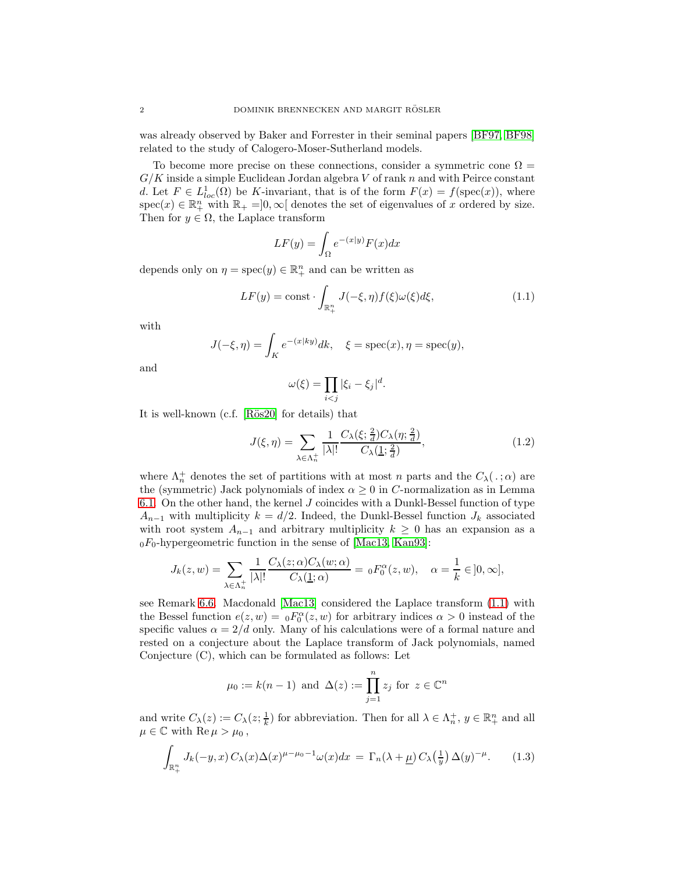was already observed by Baker and Forrester in their seminal papers [\[BF97,](#page-26-8) [BF98\]](#page-26-9) related to the study of Calogero-Moser-Sutherland models.

To become more precise on these connections, consider a symmetric cone  $\Omega =$  $G/K$  inside a simple Euclidean Jordan algebra V of rank n and with Peirce constant d. Let  $F \in L^1_{loc}(\Omega)$  be K-invariant, that is of the form  $F(x) = f(\text{spec}(x))$ , where  $\operatorname{spec}(x) \in \mathbb{R}_+^n$  with  $\mathbb{R}_+ = ]0, \infty[$  denotes the set of eigenvalues of x ordered by size. Then for  $y \in \Omega$ , the Laplace transform

$$
LF(y) = \int_{\Omega} e^{-(x|y)} F(x) dx
$$

depends only on  $\eta = \text{spec}(y) \in \mathbb{R}^n_+$  and can be written as

<span id="page-1-0"></span>
$$
LF(y) = \text{const} \cdot \int_{\mathbb{R}^n_+} J(-\xi, \eta) f(\xi) \omega(\xi) d\xi,
$$
\n(1.1)

with

$$
J(-\xi, \eta) = \int_K e^{-(x|ky)} dk, \quad \xi = \text{spec}(x), \eta = \text{spec}(y),
$$

and

$$
\omega(\xi) = \prod_{i < j} |\xi_i - \xi_j|^d.
$$

It is well-known (c.f.  $[R\ddot{o}s20]$  for details) that

$$
J(\xi, \eta) = \sum_{\lambda \in \Lambda_n^+} \frac{1}{|\lambda|!} \frac{C_{\lambda}(\xi; \frac{2}{d}) C_{\lambda}(\eta; \frac{2}{d})}{C_{\lambda}(\underline{1}; \frac{2}{d})},\tag{1.2}
$$

where  $\Lambda_n^+$  denotes the set of partitions with at most n parts and the  $C_{\lambda}(\cdot; \alpha)$  are the (symmetric) Jack polynomials of index  $\alpha \geq 0$  in C-normalization as in Lemma 6.1. On the other hand, the kernel J coincides with a Dunkl-Bessel function of type  $A_{n-1}$  with multiplicity  $k = d/2$ . Indeed, the Dunkl-Bessel function  $J_k$  associated with root system  $A_{n-1}$  and arbitrary multiplicity  $k \geq 0$  has an expansion as a  $_0F_0$ -hypergeometric function in the sense of [\[Mac13,](#page-26-1) [Kan93\]](#page-26-6):

$$
J_k(z, w) = \sum_{\lambda \in \Lambda_n^+} \frac{1}{|\lambda|!} \frac{C_{\lambda}(z; \alpha) C_{\lambda}(w; \alpha)}{C_{\lambda}(\underline{1}; \alpha)} = {}_0F_0^{\alpha}(z, w), \quad \alpha = \frac{1}{k} \in ]0, \infty],
$$

see Remark [6.6.](#page-20-0) Macdonald [\[Mac13\]](#page-26-1) considered the Laplace transform [\(1.1\)](#page-1-0) with the Bessel function  $e(z, w) = {}_0F_0^{\alpha}(z, w)$  for arbitrary indices  $\alpha > 0$  instead of the specific values  $\alpha = 2/d$  only. Many of his calculations were of a formal nature and rested on a conjecture about the Laplace transform of Jack polynomials, named Conjecture (C), which can be formulated as follows: Let

$$
\mu_0 := k(n-1)
$$
 and  $\Delta(z) := \prod_{j=1}^n z_j$  for  $z \in \mathbb{C}^n$ 

and write  $C_\lambda(z) := C_\lambda(z; \frac{1}{k})$  for abbreviation. Then for all  $\lambda \in \Lambda_n^+$ ,  $y \in \mathbb{R}_+^n$  and all  $\mu \in \mathbb{C}$  with  $\text{Re}\,\mu > \mu_0$ ,

<span id="page-1-1"></span>
$$
\int_{\mathbb{R}^n_+} J_k(-y,x) C_\lambda(x) \Delta(x)^{\mu-\mu_0-1} \omega(x) dx = \Gamma_n(\lambda+\underline{\mu}) C_\lambda(\frac{1}{y}) \Delta(y)^{-\mu}.
$$
 (1.3)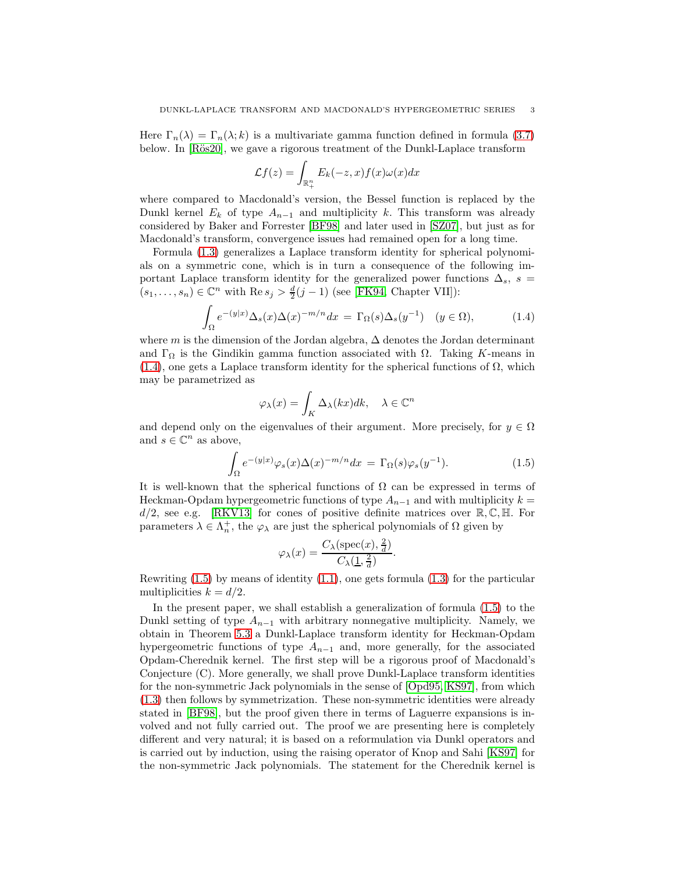Here  $\Gamma_n(\lambda) = \Gamma_n(\lambda; k)$  is a multivariate gamma function defined in formula [\(3.7\)](#page-8-0) below. In [Rös20], we gave a rigorous treatment of the Dunkl-Laplace transform

$$
\mathcal{L}f(z) = \int_{\mathbb{R}^n_+} E_k(-z, x) f(x) \omega(x) dx
$$

where compared to Macdonald's version, the Bessel function is replaced by the Dunkl kernel  $E_k$  of type  $A_{n-1}$  and multiplicity k. This transform was already considered by Baker and Forrester [\[BF98\]](#page-26-9) and later used in [\[SZ07\]](#page-27-0), but just as for Macdonald's transform, convergence issues had remained open for a long time.

Formula [\(1.3\)](#page-1-1) generalizes a Laplace transform identity for spherical polynomials on a symmetric cone, which is in turn a consequence of the following important Laplace transform identity for the generalized power functions  $\Delta_s$ , s =  $(s_1, \ldots, s_n) \in \mathbb{C}^n$  with  $\text{Re } s_j > \frac{d}{2}(j-1)$  (see [\[FK94,](#page-26-2) Chapter VII]):

<span id="page-2-0"></span>
$$
\int_{\Omega} e^{-(y|x)} \Delta_s(x) \Delta(x)^{-m/n} dx = \Gamma_{\Omega}(s) \Delta_s(y^{-1}) \quad (y \in \Omega), \tag{1.4}
$$

where m is the dimension of the Jordan algebra,  $\Delta$  denotes the Jordan determinant and  $\Gamma_{\Omega}$  is the Gindikin gamma function associated with  $\Omega$ . Taking K-means in  $(1.4)$ , one gets a Laplace transform identity for the spherical functions of  $\Omega$ , which may be parametrized as

$$
\varphi_{\lambda}(x) = \int_{K} \Delta_{\lambda}(kx) dk, \quad \lambda \in \mathbb{C}^{n}
$$

and depend only on the eigenvalues of their argument. More precisely, for  $y \in \Omega$ and  $s \in \mathbb{C}^n$  as above,

<span id="page-2-1"></span>
$$
\int_{\Omega} e^{-(y|x)} \varphi_s(x) \Delta(x)^{-m/n} dx = \Gamma_{\Omega}(s) \varphi_s(y^{-1}). \tag{1.5}
$$

It is well-known that the spherical functions of  $\Omega$  can be expressed in terms of Heckman-Opdam hypergeometric functions of type  $A_{n-1}$  and with multiplicity  $k =$  $d/2$ , see e.g. [\[RKV13\]](#page-27-1) for cones of positive definite matrices over  $\mathbb{R}, \mathbb{C}, \mathbb{H}$ . For parameters  $\lambda \in \Lambda_n^+$ , the  $\varphi_\lambda$  are just the spherical polynomials of  $\Omega$  given by

$$
\varphi_{\lambda}(x) = \frac{C_{\lambda}(\text{spec}(x), \frac{2}{d})}{C_{\lambda}(\underline{1}, \frac{2}{d})}.
$$

Rewriting  $(1.5)$  by means of identity  $(1.1)$ , one gets formula  $(1.3)$  for the particular multiplicities  $k = d/2$ .

In the present paper, we shall establish a generalization of formula [\(1.5\)](#page-2-1) to the Dunkl setting of type  $A_{n-1}$  with arbitrary nonnegative multiplicity. Namely, we obtain in Theorem [5.3](#page-14-0) a Dunkl-Laplace transform identity for Heckman-Opdam hypergeometric functions of type  $A_{n-1}$  and, more generally, for the associated Opdam-Cherednik kernel. The first step will be a rigorous proof of Macdonald's Conjecture (C). More generally, we shall prove Dunkl-Laplace transform identities for the non-symmetric Jack polynomials in the sense of [\[Opd95,](#page-26-10) [KS97\]](#page-26-11), from which [\(1.3\)](#page-1-1) then follows by symmetrization. These non-symmetric identities were already stated in [\[BF98\]](#page-26-9), but the proof given there in terms of Laguerre expansions is involved and not fully carried out. The proof we are presenting here is completely different and very natural; it is based on a reformulation via Dunkl operators and is carried out by induction, using the raising operator of Knop and Sahi [\[KS97\]](#page-26-11) for the non-symmetric Jack polynomials. The statement for the Cherednik kernel is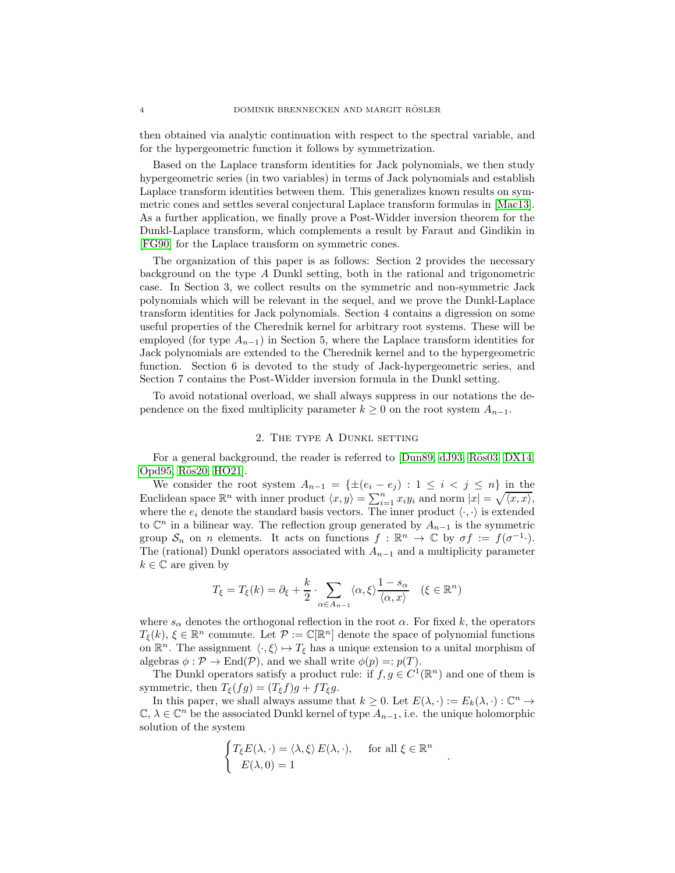then obtained via analytic continuation with respect to the spectral variable, and for the hypergeometric function it follows by symmetrization.

Based on the Laplace transform identities for Jack polynomials, we then study hypergeometric series (in two variables) in terms of Jack polynomials and establish Laplace transform identities between them. This generalizes known results on symmetric cones and settles several conjectural Laplace transform formulas in [\[Mac13\]](#page-26-1). As a further application, we finally prove a Post-Widder inversion theorem for the Dunkl-Laplace transform, which complements a result by Faraut and Gindikin in [\[FG90\]](#page-26-12) for the Laplace transform on symmetric cones.

The organization of this paper is as follows: Section 2 provides the necessary background on the type A Dunkl setting, both in the rational and trigonometric case. In Section 3, we collect results on the symmetric and non-symmetric Jack polynomials which will be relevant in the sequel, and we prove the Dunkl-Laplace transform identities for Jack polynomials. Section 4 contains a digression on some useful properties of the Cherednik kernel for arbitrary root systems. These will be employed (for type  $A_{n-1}$ ) in Section 5, where the Laplace transform identities for Jack polynomials are extended to the Cherednik kernel and to the hypergeometric function. Section 6 is devoted to the study of Jack-hypergeometric series, and Section 7 contains the Post-Widder inversion formula in the Dunkl setting.

<span id="page-3-0"></span>To avoid notational overload, we shall always suppress in our notations the dependence on the fixed multiplicity parameter  $k \geq 0$  on the root system  $A_{n-1}$ .

### 2. The type A Dunkl setting

For a general background, the reader is referred to [\[Dun89,](#page-26-13) [dJ93,](#page-26-14) Rös03, [DX14,](#page-26-16) [Opd95,](#page-26-10) Rös20, [HO21\]](#page-26-17).

We consider the root system  $A_{n-1} = \{\pm (e_i - e_j) : 1 \leq i \leq j \leq n\}$  in the Euclidean space  $\mathbb{R}^n$  with inner product  $\langle x, y \rangle = \sum_{i=1}^n x_i y_i$  and norm  $|x| = \sqrt{\langle x, x \rangle}$ , where the  $e_i$  denote the standard basis vectors. The inner product  $\langle \cdot, \cdot \rangle$  is extended to  $\mathbb{C}^n$  in a bilinear way. The reflection group generated by  $A_{n-1}$  is the symmetric group  $S_n$  on n elements. It acts on functions  $f : \mathbb{R}^n \to \mathbb{C}$  by  $\sigma f := f(\sigma^{-1} \cdot)$ . The (rational) Dunkl operators associated with  $A_{n-1}$  and a multiplicity parameter  $k \in \mathbb{C}$  are given by

$$
T_{\xi} = T_{\xi}(k) = \partial_{\xi} + \frac{k}{2} \cdot \sum_{\alpha \in A_{n-1}} \langle \alpha, \xi \rangle \frac{1 - s_{\alpha}}{\langle \alpha, x \rangle} \quad (\xi \in \mathbb{R}^n)
$$

where  $s_{\alpha}$  denotes the orthogonal reflection in the root  $\alpha$ . For fixed k, the operators  $T_{\xi}(k), \xi \in \mathbb{R}^n$  commute. Let  $\mathcal{P} := \mathbb{C}[\mathbb{R}^n]$  denote the space of polynomial functions on  $\mathbb{R}^n$ . The assignment  $\langle \cdot, \xi \rangle \mapsto T_{\xi}$  has a unique extension to a unital morphism of algebras  $\phi : \mathcal{P} \to \text{End}(\mathcal{P})$ , and we shall write  $\phi(p) =: p(T)$ .

The Dunkl operators satisfy a product rule: if  $f, g \in C^1(\mathbb{R}^n)$  and one of them is symmetric, then  $T_{\xi}(fg) = (T_{\xi}f)g + fT_{\xi}g$ .

In this paper, we shall always assume that  $k \geq 0$ . Let  $E(\lambda, \cdot) := E_k(\lambda, \cdot) : \mathbb{C}^n \to$  $\mathbb{C}, \lambda \in \mathbb{C}^n$  be the associated Dunkl kernel of type  $A_{n-1}$ , i.e. the unique holomorphic solution of the system

$$
\begin{cases} T_{\xi}E(\lambda, \cdot) = \langle \lambda, \xi \rangle E(\lambda, \cdot), & \text{for all } \xi \in \mathbb{R}^n \\ E(\lambda, 0) = 1 \end{cases}
$$

.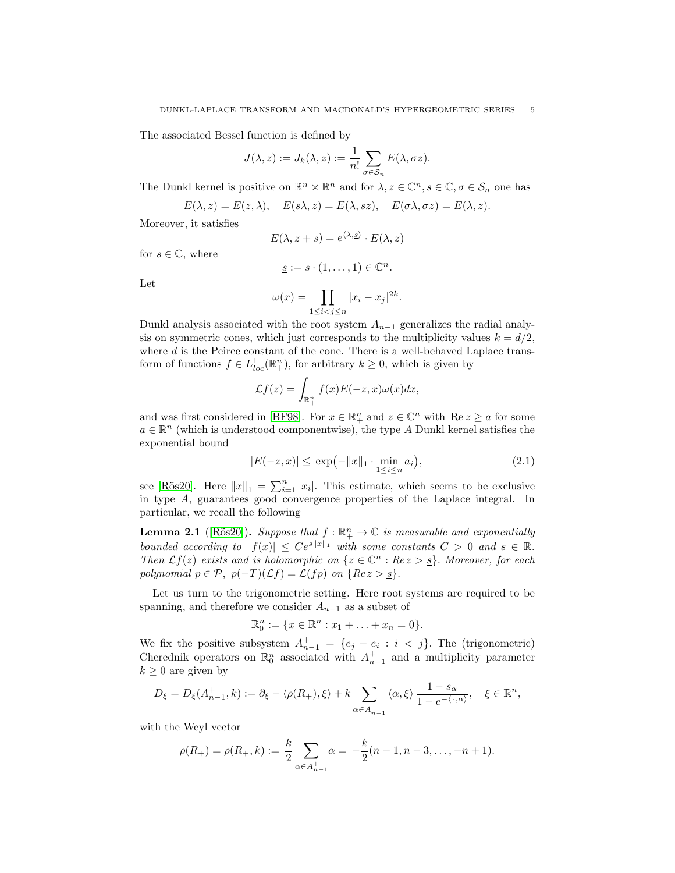The associated Bessel function is defined by

$$
J(\lambda, z) := J_k(\lambda, z) := \frac{1}{n!} \sum_{\sigma \in S_n} E(\lambda, \sigma z).
$$

The Dunkl kernel is positive on  $\mathbb{R}^n \times \mathbb{R}^n$  and for  $\lambda, z \in \mathbb{C}^n, s \in \mathbb{C}, \sigma \in \mathcal{S}_n$  one has

$$
E(\lambda, z) = E(z, \lambda),
$$
  $E(s\lambda, z) = E(\lambda, sz),$   $E(\sigma \lambda, \sigma z) = E(\lambda, z).$ 

Moreover, it satisfies

$$
E(\lambda, z + \underline{s}) = e^{\langle \lambda, \underline{s} \rangle} \cdot E(\lambda, z)
$$

for  $s \in \mathbb{C}$ , where

$$
\underline{s} := s \cdot (1, \ldots, 1) \in \mathbb{C}^n.
$$

Let

$$
\omega(x) = \prod_{1 \le i < j \le n} |x_i - x_j|^{2k}.
$$

Dunkl analysis associated with the root system  $A_{n-1}$  generalizes the radial analysis on symmetric cones, which just corresponds to the multiplicity values  $k = d/2$ , where  $d$  is the Peirce constant of the cone. There is a well-behaved Laplace transform of functions  $f \in L^1_{loc}(\mathbb{R}^n_+)$ , for arbitrary  $k \geq 0$ , which is given by

$$
\mathcal{L}f(z) = \int_{\mathbb{R}^n_+} f(x)E(-z,x)\omega(x)dx,
$$

and was first considered in [\[BF98\]](#page-26-9). For  $x \in \mathbb{R}^n_+$  and  $z \in \mathbb{C}^n$  with  $\text{Re } z \geq a$  for some  $a \in \mathbb{R}^n$  (which is understood componentwise), the type A Dunkl kernel satisfies the exponential bound

<span id="page-4-1"></span>
$$
|E(-z,x)| \le \exp(-\|x\|_1 \cdot \min_{1 \le i \le n} a_i), \tag{2.1}
$$

see [Rös20]. Here  $||x||_1 = \sum_{i=1}^n |x_i|$ . This estimate, which seems to be exclusive in type A, guarantees good convergence properties of the Laplace integral. In particular, we recall the following

<span id="page-4-0"></span>**Lemma 2.1** ([Rös20]). Suppose that  $f : \mathbb{R}^n_+ \to \mathbb{C}$  is measurable and exponentially bounded according to  $|f(x)| \leq Ce^{s||x||_1}$  with some constants  $C > 0$  and  $s \in \mathbb{R}$ . Then  $\mathcal{L}f(z)$  exists and is holomorphic on  $\{z \in \mathbb{C}^n : Re z > \underline{s}\}.$  Moreover, for each polynomial  $p \in \mathcal{P}$ ,  $p(-T)(\mathcal{L}f) = \mathcal{L}(fp)$  on  $\{Re \, z > \underline{s}\}.$ 

Let us turn to the trigonometric setting. Here root systems are required to be spanning, and therefore we consider  $A_{n-1}$  as a subset of

$$
\mathbb{R}_0^n := \{ x \in \mathbb{R}^n : x_1 + \ldots + x_n = 0 \}.
$$

We fix the positive subsystem  $A_{n-1}^+ = \{e_j - e_i : i < j\}$ . The (trigonometric) Cherednik operators on  $\mathbb{R}_0^n$  associated with  $A_{n-1}^+$  and a multiplicity parameter  $k \geq 0$  are given by

$$
D_{\xi} = D_{\xi}(A_{n-1}^+, k) := \partial_{\xi} - \langle \rho(R_+), \xi \rangle + k \sum_{\alpha \in A_{n-1}^+} \langle \alpha, \xi \rangle \frac{1 - s_{\alpha}}{1 - e^{-\langle \cdot, \alpha \rangle}}, \quad \xi \in \mathbb{R}^n,
$$

with the Weyl vector

$$
\rho(R_+) = \rho(R_+,k) := \frac{k}{2} \sum_{\alpha \in A_{n-1}^+} \alpha = -\frac{k}{2}(n-1,n-3,\ldots,-n+1).
$$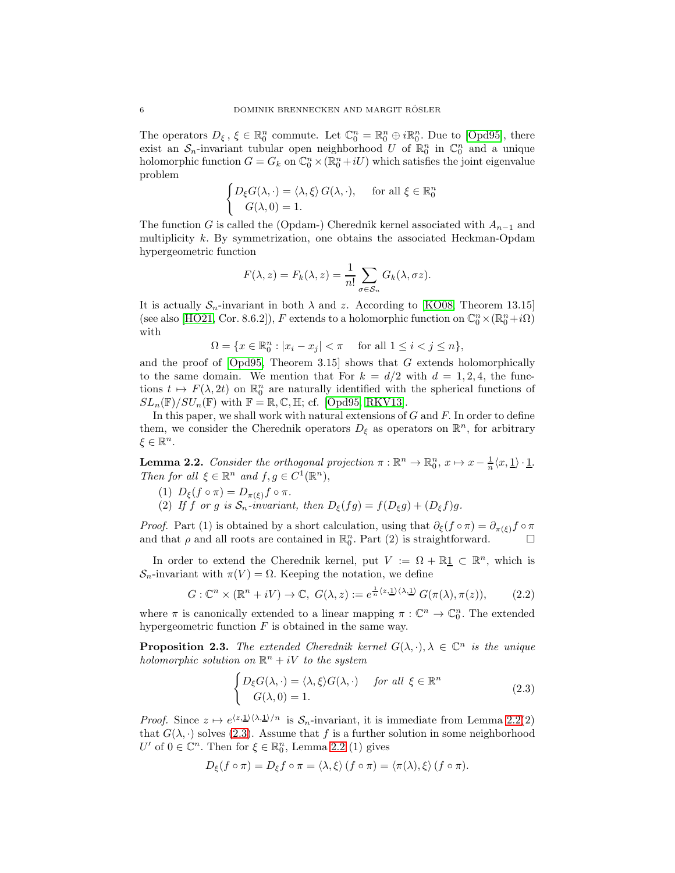The operators  $D_{\xi}$ ,  $\xi \in \mathbb{R}^n_0$  commute. Let  $\mathbb{C}^n_0 = \mathbb{R}^n_0 \oplus i\mathbb{R}^n_0$ . Due to [\[Opd95\]](#page-26-10), there exist an  $S_n$ -invariant tubular open neighborhood U of  $\mathbb{R}^n_0$  in  $\mathbb{C}^n_0$  and a unique holomorphic function  $G = G_k$  on  $\mathbb{C}^n_0 \times (\mathbb{R}^n_0 + iU)$  which satisfies the joint eigenvalue problem

$$
\begin{cases} D_{\xi}G(\lambda, \cdot) = \langle \lambda, \xi \rangle G(\lambda, \cdot), & \text{for all } \xi \in \mathbb{R}_0^n \\ G(\lambda, 0) = 1. \end{cases}
$$

The function G is called the (Opdam-) Cherednik kernel associated with  $A_{n-1}$  and multiplicity k. By symmetrization, one obtains the associated Heckman-Opdam hypergeometric function

$$
F(\lambda, z) = F_k(\lambda, z) = \frac{1}{n!} \sum_{\sigma \in S_n} G_k(\lambda, \sigma z).
$$

It is actually  $S_n$ -invariant in both  $\lambda$  and z. According to [\[KO08,](#page-26-18) Theorem 13.15] (see also [\[HO21,](#page-26-17) Cor. 8.6.2]), F extends to a holomorphic function on  $\mathbb{C}^n_0 \times (\mathbb{R}^n_0 + i\Omega)$ with

$$
\Omega = \{ x \in \mathbb{R}_0^n : |x_i - x_j| < \pi \quad \text{ for all } 1 \le i < j \le n \},
$$

and the proof of  $[Opd95, Theorem 3.15]$  shows that G extends holomorphically to the same domain. We mention that For  $k = d/2$  with  $d = 1, 2, 4$ , the functions  $t \mapsto F(\lambda, 2t)$  on  $\mathbb{R}^n_0$  are naturally identified with the spherical functions of  $SL_n(\mathbb{F})/SU_n(\mathbb{F})$  with  $\mathbb{F} = \mathbb{R}, \mathbb{C}, \mathbb{H}$ ; cf. [\[Opd95,](#page-26-10) [RKV13\]](#page-27-1).

In this paper, we shall work with natural extensions of  $G$  and  $F$ . In order to define them, we consider the Cherednik operators  $D_{\xi}$  as operators on  $\mathbb{R}^{n}$ , for arbitrary  $\xi \in \mathbb{R}^n$ .

<span id="page-5-0"></span>**Lemma 2.2.** Consider the orthogonal projection  $\pi : \mathbb{R}^n \to \mathbb{R}^n_0$ ,  $x \mapsto x - \frac{1}{n} \langle x, \underline{1} \rangle \cdot \underline{1}$ . Then for all  $\xi \in \mathbb{R}^n$  and  $f, g \in C^1(\mathbb{R}^n)$ ,

- (1)  $D_{\xi}(f \circ \pi) = D_{\pi(\xi)}f \circ \pi.$
- (2) If f or g is  $S_n$ -invariant, then  $D_{\xi}(fg) = f(D_{\xi}g) + (D_{\xi}f)g$ .

*Proof.* Part (1) is obtained by a short calculation, using that  $\partial_{\xi}(f \circ \pi) = \partial_{\pi(\xi)} f \circ \pi$ and that  $\rho$  and all roots are contained in  $\mathbb{R}_0^n$ . Part (2) is straightforward.

In order to extend the Cherednik kernel, put  $V := \Omega + \mathbb{R}1 \subset \mathbb{R}^n$ , which is  $\mathcal{S}_n$ -invariant with  $\pi(V) = \Omega$ . Keeping the notation, we define

<span id="page-5-3"></span>
$$
G: \mathbb{C}^n \times (\mathbb{R}^n + iV) \to \mathbb{C}, \ G(\lambda, z) := e^{\frac{1}{n}\langle z, \underline{1}\rangle \langle \lambda, \underline{1}\rangle} \ G(\pi(\lambda), \pi(z)), \tag{2.2}
$$

where  $\pi$  is canonically extended to a linear mapping  $\pi : \mathbb{C}^n \to \mathbb{C}^n_0$ . The extended hypergeometric function  $F$  is obtained in the same way.

<span id="page-5-2"></span>**Proposition 2.3.** The extended Cherednik kernel  $G(\lambda, \cdot), \lambda \in \mathbb{C}^n$  is the unique holomorphic solution on  $\mathbb{R}^n + iV$  to the system

<span id="page-5-1"></span>
$$
\begin{cases} D_{\xi}G(\lambda, \cdot) = \langle \lambda, \xi \rangle G(\lambda, \cdot) & \text{for all } \xi \in \mathbb{R}^n \\ G(\lambda, 0) = 1. \end{cases}
$$
 (2.3)

*Proof.* Since  $z \mapsto e^{z \cdot \underline{1} \lambda \cdot (\lambda, \underline{1})/n}$  is  $S_n$ -invariant, it is immediate from Lemma [2.2\(](#page-5-0)2) that  $G(\lambda, \cdot)$  solves [\(2.3\)](#page-5-1). Assume that f is a further solution in some neighborhood U' of  $0 \in \mathbb{C}^n$ . Then for  $\xi \in \mathbb{R}^n_0$ , Lemma [2.2](#page-5-0) (1) gives

$$
D_{\xi}(f \circ \pi) = D_{\xi}f \circ \pi = \langle \lambda, \xi \rangle (f \circ \pi) = \langle \pi(\lambda), \xi \rangle (f \circ \pi).
$$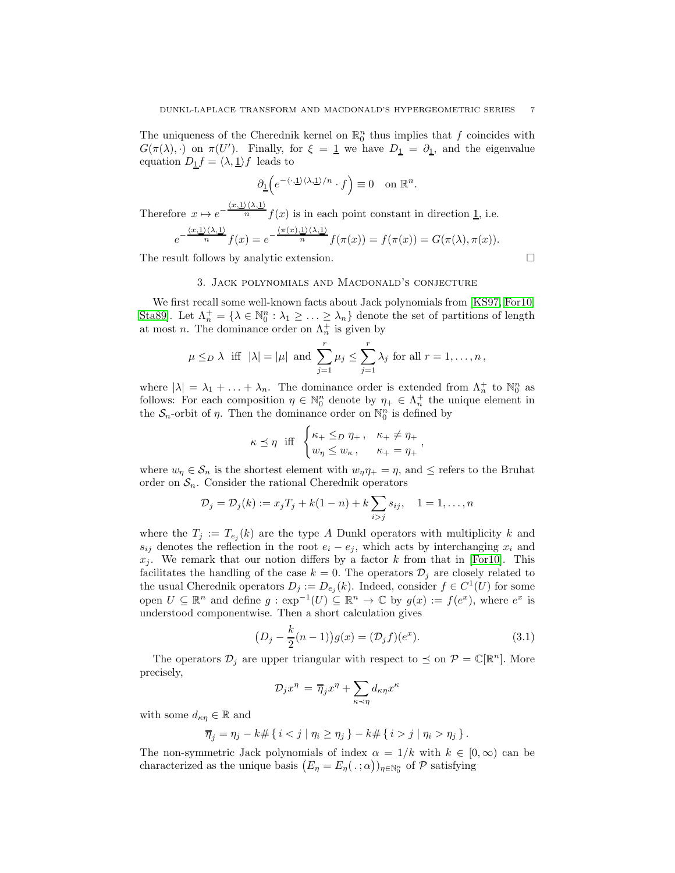The uniqueness of the Cherednik kernel on  $\mathbb{R}^n_0$  thus implies that f coincides with  $G(\pi(\lambda),\cdot)$  on  $\pi(U')$ . Finally, for  $\xi = 1$  we have  $D_1 = \partial_1$ , and the eigenvalue equation  $D_1 f = \langle \lambda, \underline{1} \rangle f$  leads to

$$
\partial_{\underline{1}}\Big(e^{-\langle\cdot,\underline{1}\rangle\langle\lambda,\underline{1}\rangle/n}\cdot f\Big)\equiv 0\quad\text{on }\mathbb{R}^n.
$$

Therefore  $x \mapsto e^{-\frac{\langle x,1\rangle \langle \lambda,1\rangle}{n}} f(x)$  is in each point constant in direction <u>1</u>, i.e.

$$
e^{-\frac{\langle x,\underline{1}\rangle\langle\lambda,\underline{1}\rangle}{n}}f(x)=e^{-\frac{\langle\pi(x),\underline{1}\rangle\langle\lambda,\underline{1}\rangle}{n}}f(\pi(x))=f(\pi(x))=G(\pi(\lambda),\pi(x)).
$$

The result follows by analytic extension.

3. Jack polynomials and Macdonald's conjecture

We first recall some well-known facts about Jack polynomials from [\[KS97,](#page-26-11) [For10,](#page-26-19) Sta89. Let  $\Lambda_n^+ = \{\lambda \in \mathbb{N}_0^n : \lambda_1 \geq \ldots \geq \lambda_n\}$  denote the set of partitions of length at most *n*. The dominance order on  $\Lambda_n^+$  is given by

$$
\mu \leq_D \lambda
$$
 iff  $|\lambda| = |\mu|$  and  $\sum_{j=1}^r \mu_j \leq \sum_{j=1}^r \lambda_j$  for all  $r = 1, ..., n$ ,

where  $|\lambda| = \lambda_1 + \ldots + \lambda_n$ . The dominance order is extended from  $\Lambda_n^+$  to  $\mathbb{N}_0^n$  as follows: For each composition  $\eta \in \mathbb{N}_0^n$  denote by  $\eta_+ \in \Lambda_n^+$  the unique element in the  $S_n$ -orbit of  $\eta$ . Then the dominance order on  $\mathbb{N}_0^n$  is defined by

$$
\kappa \preceq \eta \quad \text{iff} \quad \begin{cases} \kappa_+ \leq_D \eta_+, & \kappa_+ \neq \eta_+ \\ w_\eta \leq w_\kappa, & \kappa_+ = \eta_+ \end{cases}
$$

where  $w_n \in \mathcal{S}_n$  is the shortest element with  $w_n \eta_+ = \eta$ , and  $\leq$  refers to the Bruhat order on  $S_n$ . Consider the rational Cherednik operators

$$
\mathcal{D}_j = \mathcal{D}_j(k) := x_j T_j + k(1 - n) + k \sum_{i > j} s_{ij}, \quad 1 = 1, ..., n
$$

where the  $T_j := T_{e_j}(k)$  are the type A Dunkl operators with multiplicity k and  $s_{ij}$  denotes the reflection in the root  $e_i - e_j$ , which acts by interchanging  $x_i$  and  $x_i$ . We remark that our notion differs by a factor k from that in [\[For10\]](#page-26-19). This facilitates the handling of the case  $k = 0$ . The operators  $\mathcal{D}_j$  are closely related to the usual Cherednik operators  $D_j := D_{e_j}(k)$ . Indeed, consider  $f \in C^1(U)$  for some open  $U \subseteq \mathbb{R}^n$  and define  $g : \exp^{-1}(U) \subseteq \mathbb{R}^n \to \mathbb{C}$  by  $g(x) := f(e^x)$ , where  $e^x$  is understood componentwise. Then a short calculation gives

<span id="page-6-0"></span>
$$
(D_j - \frac{k}{2}(n-1))g(x) = (\mathcal{D}_j f)(e^x).
$$
 (3.1)

The operators  $\mathcal{D}_j$  are upper triangular with respect to  $\preceq$  on  $\mathcal{P} = \mathbb{C}[\mathbb{R}^n]$ . More precisely,

$$
\mathcal{D}_j x^\eta = \overline{\eta}_j x^\eta + \sum_{\kappa \prec \eta} d_{\kappa \eta} x^\kappa
$$

with some  $d_{\kappa\eta}\in\mathbb{R}$  and

$$
\overline{\eta}_j = \eta_j - k \# \{ i < j \mid \eta_i \ge \eta_j \} - k \# \{ i > j \mid \eta_i > \eta_j \} \, .
$$

The non-symmetric Jack polynomials of index  $\alpha = 1/k$  with  $k \in [0, \infty)$  can be characterized as the unique basis  $(E_{\eta} = E_{\eta}(.;\alpha))_{\eta \in \mathbb{N}_0^n}$  of  $P$  satisfying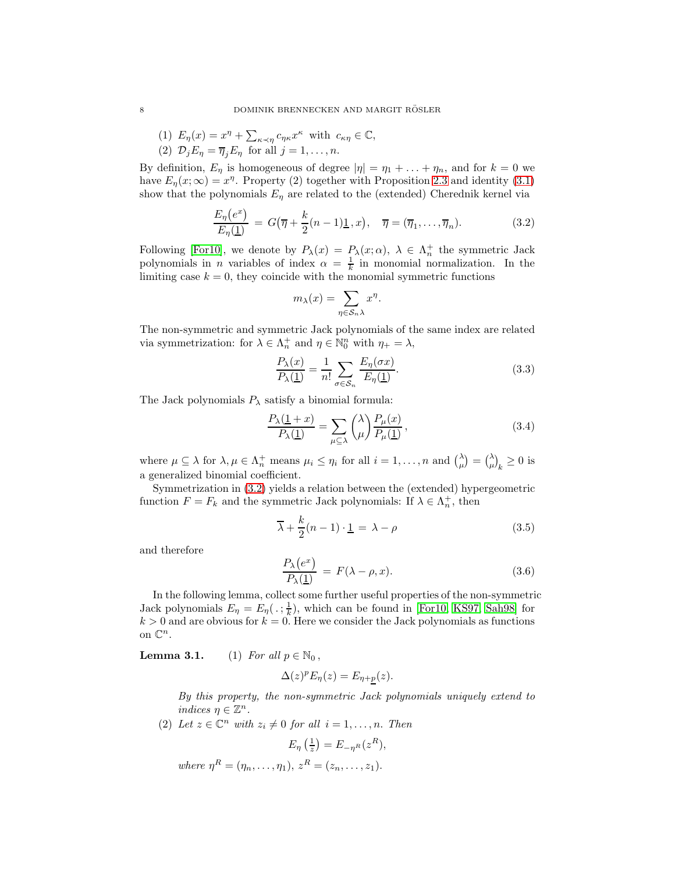- (1)  $E_{\eta}(x) = x^{\eta} + \sum_{\kappa \prec \eta} c_{\eta \kappa} x^{\kappa}$  with  $c_{\kappa \eta} \in \mathbb{C}$ ,
- (2)  $\mathcal{D}_j E_\eta = \overline{\eta}_j E_\eta$  for all  $j = 1, \ldots, n$ .

By definition,  $E_{\eta}$  is homogeneous of degree  $|\eta| = \eta_1 + \ldots + \eta_n$ , and for  $k = 0$  we have  $E_{\eta}(x;\infty) = x^{\eta}$ . Property (2) together with Proposition [2.3](#page-5-2) and identity [\(3.1\)](#page-6-0) show that the polynomials  $E<sub>\eta</sub>$  are related to the (extended) Cherednik kernel via

<span id="page-7-0"></span>
$$
\frac{E_{\eta}(e^x)}{E_{\eta}(\underline{1})} = G(\overline{\eta} + \frac{k}{2}(n-1)\underline{1}, x), \quad \overline{\eta} = (\overline{\eta}_1, \dots, \overline{\eta}_n). \tag{3.2}
$$

Following [\[For10\]](#page-26-19), we denote by  $P_{\lambda}(x) = P_{\lambda}(x; \alpha)$ ,  $\lambda \in \Lambda_n^+$  the symmetric Jack polynomials in *n* variables of index  $\alpha = \frac{1}{k}$  in monomial normalization. In the limiting case  $k = 0$ , they coincide with the monomial symmetric functions

$$
m_{\lambda}(x) = \sum_{\eta \in S_n \lambda} x^{\eta}.
$$

The non-symmetric and symmetric Jack polynomials of the same index are related via symmetrization: for  $\lambda \in \Lambda_n^+$  and  $\eta \in \mathbb{N}_0^n$  with  $\eta_+ = \lambda$ ,

<span id="page-7-4"></span>
$$
\frac{P_{\lambda}(x)}{P_{\lambda}(\underline{1})} = \frac{1}{n!} \sum_{\sigma \in S_n} \frac{E_{\eta}(\sigma x)}{E_{\eta}(\underline{1})}.
$$
\n(3.3)

The Jack polynomials  $P_{\lambda}$  satisfy a binomial formula:

<span id="page-7-3"></span>
$$
\frac{P_{\lambda}(\underline{1}+x)}{P_{\lambda}(\underline{1})} = \sum_{\mu \subseteq \lambda} {\lambda \choose \mu} \frac{P_{\mu}(x)}{P_{\mu}(\underline{1})}, \qquad (3.4)
$$

where  $\mu \subseteq \lambda$  for  $\lambda, \mu \in \Lambda_n^+$  means  $\mu_i \leq \eta_i$  for all  $i = 1, \ldots, n$  and  $\lambda(\lambda) = \lambda(\lambda)$  is a generalized binomial coefficient.

Symmetrization in [\(3.2\)](#page-7-0) yields a relation between the (extended) hypergeometric function  $F = F_k$  and the symmetric Jack polynomials: If  $\lambda \in \Lambda_n^+$ , then

<span id="page-7-2"></span>
$$
\overline{\lambda} + \frac{k}{2}(n-1) \cdot \underline{1} = \lambda - \rho \tag{3.5}
$$

and therefore

<span id="page-7-1"></span>
$$
\frac{P_{\lambda}(e^{x})}{P_{\lambda}(\underline{1})} = F(\lambda - \rho, x). \tag{3.6}
$$

In the following lemma, collect some further useful properties of the non-symmetric Jack polynomials  $E_{\eta} = E_{\eta}(.;\frac{1}{k})$ , which can be found in [\[For10,](#page-26-19) [KS97,](#page-26-11) [Sah98\]](#page-27-3) for  $k > 0$  and are obvious for  $k = 0$ . Here we consider the Jack polynomials as functions on  $\mathbb{C}^n$ .

**Lemma 3.1.** (1) For all  $p \in \mathbb{N}_0$ ,

$$
\Delta(z)^p E_\eta(z) = E_{\eta + \underline{p}}(z).
$$

By this property, the non-symmetric Jack polynomials uniquely extend to indices  $\eta \in \mathbb{Z}^n$ .

(2) Let  $z \in \mathbb{C}^n$  with  $z_i \neq 0$  for all  $i = 1, \ldots, n$ . Then

 $E_{\eta}(\frac{1}{z}) = E_{-\eta^R}(z^R),$ 

where  $\eta^R = (\eta_n, ..., \eta_1), z^R = (z_n, ..., z_1).$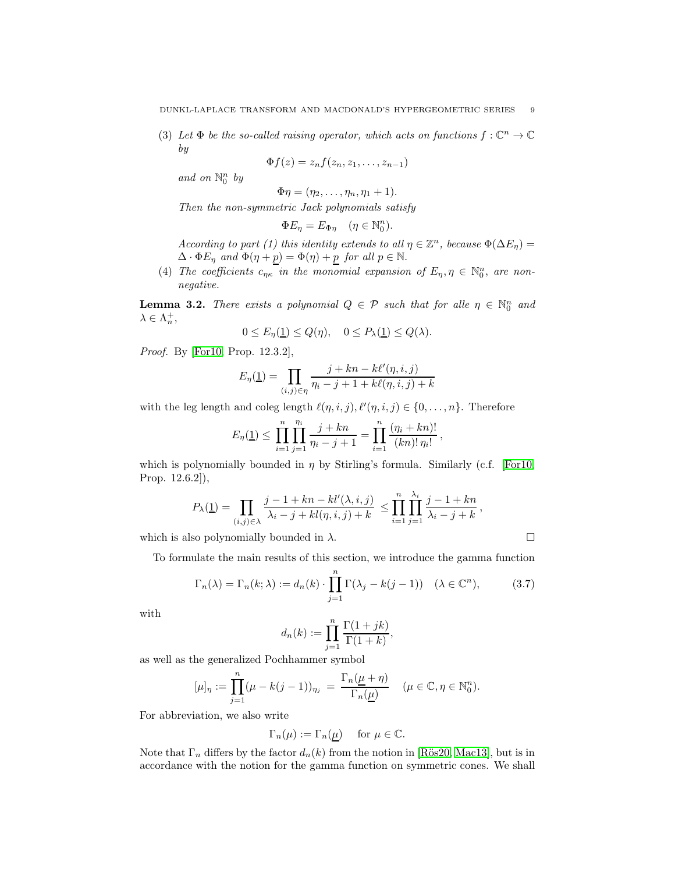(3) Let  $\Phi$  be the so-called raising operator, which acts on functions  $f: \mathbb{C}^n \to \mathbb{C}$ by

$$
\Phi f(z)=z_nf(z_n,z_1,\ldots,z_{n-1})
$$

and on  $\mathbb{N}_0^n$  by

$$
\Phi \eta = (\eta_2, \ldots, \eta_n, \eta_1 + 1).
$$

Then the non-symmetric Jack polynomials satisfy

$$
\Phi E_{\eta} = E_{\Phi \eta} \quad (\eta \in \mathbb{N}_0^n).
$$

According to part (1) this identity extends to all  $\eta \in \mathbb{Z}^n$ , because  $\Phi(\Delta E_{\eta}) =$  $\Delta \cdot \Phi E_{\eta}$  and  $\Phi(\eta + p) = \Phi(\eta) + p$  for all  $p \in \mathbb{N}$ .

(4) The coefficients  $c_{\eta\kappa}$  in the monomial expansion of  $E_{\eta}, \eta \in \mathbb{N}_0^n$ , are nonnegative.

<span id="page-8-1"></span>**Lemma 3.2.** There exists a polynomial  $Q \in \mathcal{P}$  such that for alle  $\eta \in \mathbb{N}_0^n$  and  $\lambda \in \Lambda_n^+,$ 

$$
0 \le E_{\eta}(\underline{1}) \le Q(\eta), \quad 0 \le P_{\lambda}(\underline{1}) \le Q(\lambda).
$$

Proof. By [\[For10,](#page-26-19) Prop. 12.3.2],

$$
E_{\eta}(\underline{1}) = \prod_{(i,j)\in\eta} \frac{j+kn - k\ell'(\eta, i, j)}{\eta_i - j + 1 + k\ell(\eta, i, j) + k}
$$

with the leg length and coleg length  $\ell(\eta, i, j), \ell'(\eta, i, j) \in \{0, ..., n\}$ . Therefore

$$
E_{\eta}(\underline{1}) \le \prod_{i=1}^{n} \prod_{j=1}^{\eta_i} \frac{j+kn}{\eta_i - j + 1} = \prod_{i=1}^{n} \frac{(\eta_i + kn)!}{(kn)! \eta_i!},
$$

which is polynomially bounded in  $\eta$  by Stirling's formula. Similarly (c.f. [\[For10,](#page-26-19) Prop. 12.6.2]),

$$
P_{\lambda}(\underline{1}) = \prod_{(i,j)\in\lambda} \frac{j-1+kn-kl'(\lambda,i,j)}{\lambda_i-j+kl(\eta,i,j)+k} \leq \prod_{i=1}^n \prod_{j=1}^{\lambda_i} \frac{j-1+kn}{\lambda_i-j+k},
$$

which is also polynomially bounded in  $\lambda$ .

To formulate the main results of this section, we introduce the gamma function

<span id="page-8-0"></span>
$$
\Gamma_n(\lambda) = \Gamma_n(k; \lambda) := d_n(k) \cdot \prod_{j=1}^n \Gamma(\lambda_j - k(j-1)) \quad (\lambda \in \mathbb{C}^n),
$$
 (3.7)

with

$$
d_n(k) := \prod_{j=1}^n \frac{\Gamma(1+jk)}{\Gamma(1+k)},
$$

as well as the generalized Pochhammer symbol

$$
[\mu]_{\eta} := \prod_{j=1}^{n} (\mu - k(j-1))_{\eta_j} = \frac{\Gamma_n(\underline{\mu} + \eta)}{\Gamma_n(\underline{\mu})} \quad (\mu \in \mathbb{C}, \eta \in \mathbb{N}_0^n).
$$

For abbreviation, we also write

$$
\Gamma_n(\mu) := \Gamma_n(\underline{\mu}) \quad \text{ for } \mu \in \mathbb{C}.
$$

Note that  $\Gamma_n$  differs by the factor  $d_n(k)$  from the notion in [Rös20, [Mac13\]](#page-26-1), but is in accordance with the notion for the gamma function on symmetric cones. We shall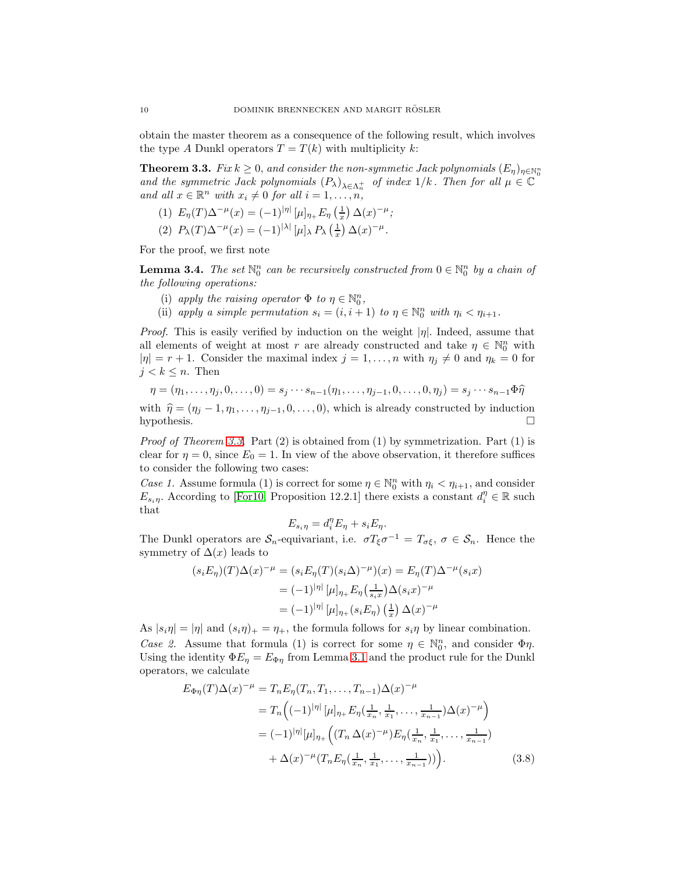obtain the master theorem as a consequence of the following result, which involves the type A Dunkl operators  $T = T(k)$  with multiplicity k:

<span id="page-9-0"></span>**Theorem 3.3.** Fix  $k \geq 0$ , and consider the non-symmetic Jack polynomials  $(E_{\eta})_{\eta \in \mathbb{N}_0^n}$ and the symmetric Jack polynomials  $(P_{\lambda})_{\lambda \in \Lambda_n^+}$  of index  $1/k$ . Then for all  $\mu \in \mathbb{C}$ and all  $x \in \mathbb{R}^n$  with  $x_i \neq 0$  for all  $i = 1, \ldots, n$ ,

- (1)  $E_{\eta}(T)\Delta^{-\mu}(x) = (-1)^{|\eta|} [\mu]_{\eta_+} E_{\eta}(\frac{1}{x}) \Delta(x)^{-\mu};$
- (2)  $P_{\lambda}(T)\Delta^{-\mu}(x) = (-1)^{|\lambda|} [\mu]_{\lambda} P_{\lambda} (\frac{1}{x}) \Delta(x)^{-\mu}.$

For the proof, we first note

**Lemma 3.4.** The set  $\mathbb{N}_0^n$  can be recursively constructed from  $0 \in \mathbb{N}_0^n$  by a chain of the following operations:

- (i) apply the raising operator  $\Phi$  to  $\eta \in \mathbb{N}_0^n$ ,
- (ii) apply a simple permutation  $s_i = (i, i + 1)$  to  $\eta \in \mathbb{N}_0^n$  with  $\eta_i < \eta_{i+1}$ .

*Proof.* This is easily verified by induction on the weight  $|\eta|$ . Indeed, assume that all elements of weight at most r are already constructed and take  $\eta \in \mathbb{N}_0^n$  with  $|\eta| = r + 1$ . Consider the maximal index  $j = 1, ..., n$  with  $\eta_j \neq 0$  and  $\eta_k = 0$  for  $j < k \leq n$ . Then

$$
\eta = (\eta_1, ..., \eta_j, 0, ..., 0) = s_j \cdots s_{n-1}(\eta_1, ..., \eta_{j-1}, 0, ..., 0, \eta_j) = s_j \cdots s_{n-1} \Phi \hat{\eta}
$$

with  $\hat{\eta} = (\eta_j - 1, \eta_1, \dots, \eta_{j-1}, 0, \dots, 0)$ , which is already constructed by induction hypothesis. hypothesis.  $\square$ 

*Proof of Theorem [3.3.](#page-9-0)* Part  $(2)$  is obtained from  $(1)$  by symmetrization. Part  $(1)$  is clear for  $\eta = 0$ , since  $E_0 = 1$ . In view of the above observation, it therefore suffices to consider the following two cases:

Case 1. Assume formula (1) is correct for some  $\eta \in \mathbb{N}_0^n$  with  $\eta_i < \eta_{i+1}$ , and consider  $E_{s_i\eta}$ . According to [\[For10,](#page-26-19) Proposition 12.2.1] there exists a constant  $d_i^{\eta} \in \mathbb{R}$  such that

<span id="page-9-1"></span>
$$
E_{s_i\eta} = d_i^{\eta} E_{\eta} + s_i E_{\eta}.
$$

The Dunkl operators are  $S_n$ -equivariant, i.e.  $\sigma T_{\xi} \sigma^{-1} = T_{\sigma \xi}, \sigma \in S_n$ . Hence the symmetry of  $\Delta(x)$  leads to

$$
(s_i E_\eta)(T)\Delta(x)^{-\mu} = (s_i E_\eta(T)(s_i \Delta)^{-\mu})(x) = E_\eta(T)\Delta^{-\mu}(s_i x)
$$

$$
= (-1)^{|\eta|} [\mu]_{\eta_+} E_\eta(\frac{1}{s_i x})\Delta(s_i x)^{-\mu}
$$

$$
= (-1)^{|\eta|} [\mu]_{\eta_+}(s_i E_\eta)(\frac{1}{x})\Delta(x)^{-\mu}
$$

As  $|s_i\eta| = |\eta|$  and  $(s_i\eta)_{+} = \eta_{+}$ , the formula follows for  $s_i\eta$  by linear combination. Case 2. Assume that formula (1) is correct for some  $\eta \in \mathbb{N}_0^n$ , and consider  $\Phi \eta$ . Using the identity  $\Phi E_n = E_{\Phi n}$  from Lemma 3.1 and the product rule for the Dunkl operators, we calculate

$$
E_{\Phi\eta}(T)\Delta(x)^{-\mu} = T_n E_{\eta}(T_n, T_1, \dots, T_{n-1})\Delta(x)^{-\mu}
$$
  
=  $T_n \left( (-1)^{|\eta|} [\mu]_{\eta_+} E_{\eta}(\frac{1}{x_n}, \frac{1}{x_1}, \dots, \frac{1}{x_{n-1}}) \Delta(x)^{-\mu} \right)$   
=  $(-1)^{|\eta|} [\mu]_{\eta_+} \left( (T_n \Delta(x)^{-\mu}) E_{\eta}(\frac{1}{x_n}, \frac{1}{x_1}, \dots, \frac{1}{x_{n-1}}) + \Delta(x)^{-\mu} (T_n E_{\eta}(\frac{1}{x_n}, \frac{1}{x_1}, \dots, \frac{1}{x_{n-1}})) \right).$  (3.8)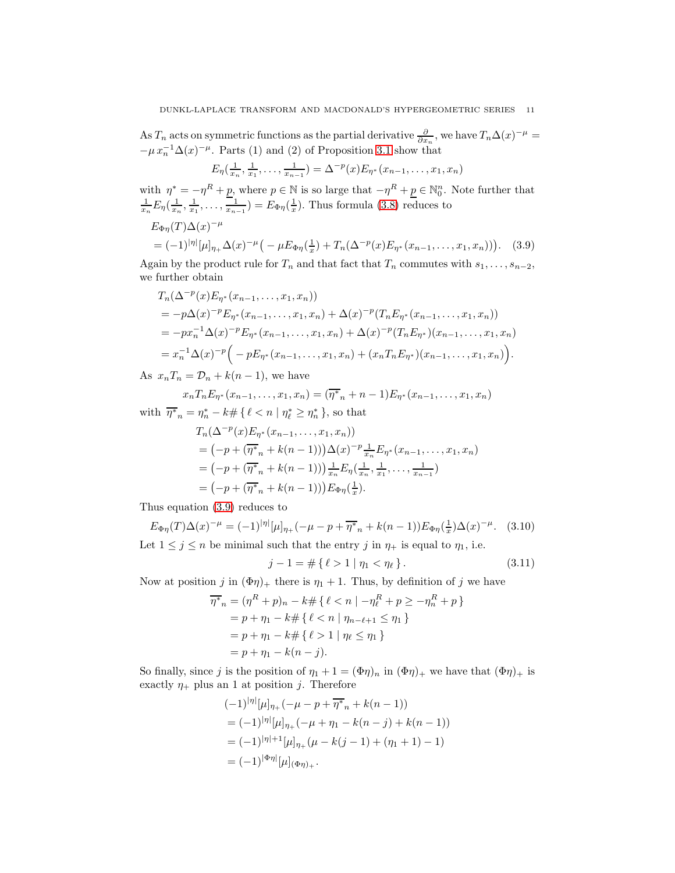As  $T_n$  acts on symmetric functions as the partial derivative  $\frac{\partial}{\partial x_n}$ , we have  $T_n\Delta(x)^{-\mu} =$  $-\mu x_n^{-1} \Delta(x)^{-\mu}$ . Parts (1) and (2) of Proposition 3.1 show that

<span id="page-10-0"></span>
$$
E_{\eta}(\frac{1}{x_n}, \frac{1}{x_1}, \dots, \frac{1}{x_{n-1}}) = \Delta^{-p}(x) E_{\eta^*}(x_{n-1}, \dots, x_1, x_n)
$$

with  $\eta^* = -\eta^R + \underline{p}$ , where  $p \in \mathbb{N}$  is so large that  $-\eta^R + \underline{p} \in \mathbb{N}_0^n$ . Note further that  $\frac{1}{x_n}E_\eta(\frac{1}{x_n},\frac{1}{x_1},\ldots,\frac{1}{x_{n-1}})=E_{\Phi\eta}(\frac{1}{x})$ . Thus formula [\(3.8\)](#page-9-1) reduces to  $E_{\Phi \eta}(T) \Delta(x)^{-\mu}$ =  $(-1)^{|\eta|} [\mu]_{\eta_+} \Delta(x)^{-\mu} \big( - \mu E_{\Phi \eta} (\frac{1}{x}) + T_n(\Delta^{-p}(x) E_{\eta^*}(x_{n-1}, \dots, x_1, x_n)) \big).$  (3.9)

Again by the product rule for  $T_n$  and that fact that  $T_n$  commutes with  $s_1, \ldots, s_{n-2}$ , we further obtain

$$
T_n(\Delta^{-p}(x)E_{\eta^*}(x_{n-1},...,x_1,x_n))
$$
  
=  $-p\Delta(x)^{-p}E_{\eta^*}(x_{n-1},...,x_1,x_n) + \Delta(x)^{-p}(T_nE_{\eta^*}(x_{n-1},...,x_1,x_n))$   
=  $-px_n^{-1}\Delta(x)^{-p}E_{\eta^*}(x_{n-1},...,x_1,x_n) + \Delta(x)^{-p}(T_nE_{\eta^*})(x_{n-1},...,x_1,x_n)$   
=  $x_n^{-1}\Delta(x)^{-p}(-pE_{\eta^*}(x_{n-1},...,x_1,x_n) + (x_nT_nE_{\eta^*})(x_{n-1},...,x_1,x_n)).$ 

As  $x_nT_n = \mathcal{D}_n + k(n-1)$ , we have

$$
x_n T_n E_{\eta^*}(x_{n-1},...,x_1,x_n) = (\overline{\eta^*}_n + n - 1) E_{\eta^*}(x_{n-1},...,x_1,x_n)
$$
  
with  $\overline{\eta^*}_n = \eta_n^* - k \# \{ \ell < n \mid \eta_\ell^* \ge \eta_n^* \},$  so that

$$
T_n(\Delta^{-p}(x)E_{\eta^*}(x_{n-1},...,x_1,x_n))
$$
  
=  $(-p + (\overline{\eta^*}_n + k(n-1)))\Delta(x)^{-p} \frac{1}{x_n}E_{\eta^*}(x_{n-1},...,x_1,x_n)$   
=  $(-p + (\overline{\eta^*}_n + k(n-1)))\frac{1}{x_n}E_{\eta}(\frac{1}{x_n}, \frac{1}{x_1},..., \frac{1}{x_{n-1}})$   
=  $(-p + (\overline{\eta^*}_n + k(n-1)))E_{\Phi\eta}(\frac{1}{x}).$ 

Thus equation [\(3.9\)](#page-10-0) reduces to

<span id="page-10-1"></span>
$$
E_{\Phi\eta}(T)\Delta(x)^{-\mu} = (-1)^{|\eta|}[\mu]_{\eta_+}(-\mu - p + \overline{\eta^*}_{n} + k(n-1))E_{\Phi\eta}(\frac{1}{x})\Delta(x)^{-\mu}.
$$
 (3.10)  
Let  $1 \le j \le n$  be minimal such that the entry  $j$  in  $\eta_+$  is equal to  $\eta_1$ , i.e.

$$
j - 1 = \# \{ \ell > 1 \mid \eta_1 < \eta_\ell \}. \tag{3.11}
$$

Now at position j in  $(\Phi \eta)_+$  there is  $\eta_1 + 1$ . Thus, by definition of j we have

$$
\overline{\eta^*}_n = (\eta^R + p)_n - k \# \{ \ell < n \mid -\eta_\ell^R + p \ge -\eta_n^R + p \} \\
= p + \eta_1 - k \# \{ \ell < n \mid \eta_{n-\ell+1} \le \eta_1 \} \\
= p + \eta_1 - k \# \{ \ell > 1 \mid \eta_\ell \le \eta_1 \} \\
= p + \eta_1 - k(n - j).
$$

So finally, since j is the position of  $\eta_1 + 1 = (\Phi \eta)_n$  in  $(\Phi \eta)_+$  we have that  $(\Phi \eta)_+$  is exactly  $\eta_+$  plus an 1 at position j. Therefore

$$
(-1)^{|\eta|}[\mu]_{\eta_+}(-\mu - p + \overline{\eta^*}_{n} + k(n-1))
$$
  
= 
$$
(-1)^{|\eta|}[\mu]_{\eta_+}(-\mu + \eta_1 - k(n-j) + k(n-1))
$$
  
= 
$$
(-1)^{|\eta|+1}[\mu]_{\eta_+}(\mu - k(j-1) + (\eta_1 + 1) - 1)
$$
  
= 
$$
(-1)^{|\Phi \eta|}[\mu]_{(\Phi \eta)_+}.
$$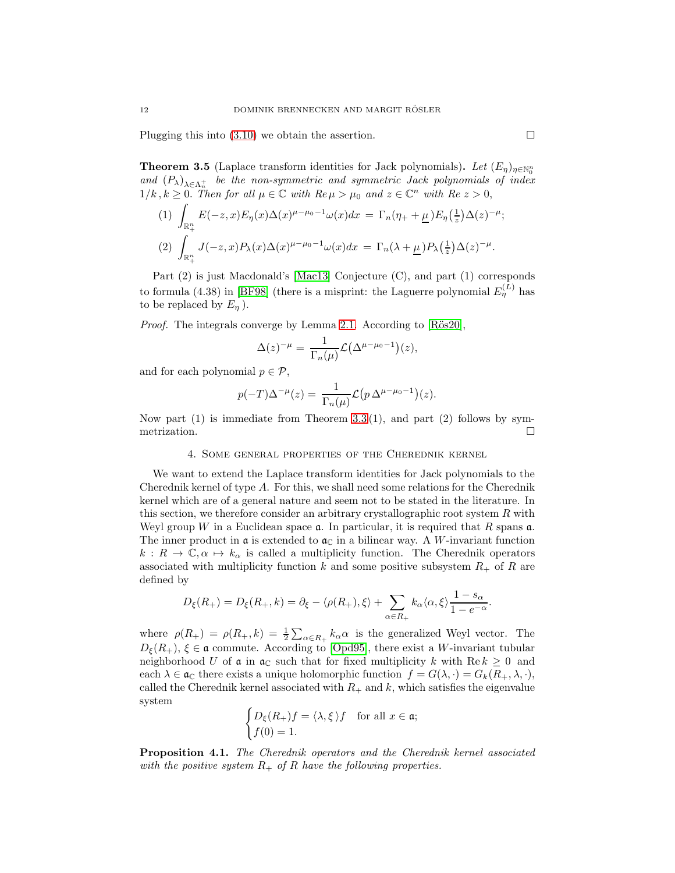Plugging this into  $(3.10)$  we obtain the assertion.

<span id="page-11-1"></span>**Theorem 3.5** (Laplace transform identities for Jack polynomials). Let  $(E_{\eta})_{\eta \in \mathbb{N}_{0}^{n}}$ and  $(P_{\lambda})_{\lambda \in \Lambda_n^+}$  be the non-symmetric and symmetric Jack polynomials of index  $1/k, k \geq 0$ . Then for all  $\mu \in \mathbb{C}$  with  $Re \mu > \mu_0$  and  $z \in \mathbb{C}^n$  with  $Re \ z > 0$ ,

(1) 
$$
\int_{\mathbb{R}_+^n} E(-z,x)E_{\eta}(x)\Delta(x)^{\mu-\mu_0-1}\omega(x)dx = \Gamma_n(\eta_+ + \underline{\mu})E_{\eta}\left(\frac{1}{z}\right)\Delta(z)^{-\mu};
$$
  
\n(2) 
$$
\int_{\mathbb{R}_+^n} J(-z,x)P_{\lambda}(x)\Delta(x)^{\mu-\mu_0-1}\omega(x)dx = \Gamma_n(\lambda+\underline{\mu})P_{\lambda}\left(\frac{1}{z}\right)\Delta(z)^{-\mu}.
$$

Part (2) is just Macdonald's [\[Mac13\]](#page-26-1) Conjecture (C), and part (1) corresponds to formula (4.38) in [\[BF98\]](#page-26-9) (there is a misprint: the Laguerre polynomial  $E_{\eta}^{(L)}$  has to be replaced by  $E_n$ ).

*Proof.* The integrals converge by Lemma [2.1.](#page-4-0) According to  $[\text{Rös20}]$ ,

$$
\Delta(z)^{-\mu} = \frac{1}{\Gamma_n(\mu)} \mathcal{L}(\Delta^{\mu-\mu_0-1})(z),
$$

and for each polynomial  $p \in \mathcal{P}$ ,

$$
p(-T)\Delta^{-\mu}(z) = \frac{1}{\Gamma_n(\mu)} \mathcal{L}(p \Delta^{\mu-\mu_0-1})(z).
$$

Now part  $(1)$  is immediate from Theorem [3.3](#page-9-0) $(1)$ , and part  $(2)$  follows by symmetrization.  $\Box$ 

#### 4. Some general properties of the Cherednik kernel

We want to extend the Laplace transform identities for Jack polynomials to the Cherednik kernel of type A. For this, we shall need some relations for the Cherednik kernel which are of a general nature and seem not to be stated in the literature. In this section, we therefore consider an arbitrary crystallographic root system  $R$  with Weyl group W in a Euclidean space  $a$ . In particular, it is required that R spans  $a$ . The inner product in  $\mathfrak a$  is extended to  $\mathfrak a_{\mathbb C}$  in a bilinear way. A W-invariant function  $k: R \to \mathbb{C}, \alpha \mapsto k_\alpha$  is called a multiplicity function. The Cherednik operators associated with multiplicity function k and some positive subsystem  $R_+$  of R are defined by

$$
D_{\xi}(R_{+}) = D_{\xi}(R_{+},k) = \partial_{\xi} - \langle \rho(R_{+}), \xi \rangle + \sum_{\alpha \in R_{+}} k_{\alpha} \langle \alpha, \xi \rangle \frac{1 - s_{\alpha}}{1 - e^{-\alpha}}.
$$

where  $\rho(R_+) = \rho(R_+, k) = \frac{1}{2} \sum_{\alpha \in R_+} k_\alpha \alpha$  is the generalized Weyl vector. The  $D_{\xi}(R_{+}), \xi \in \mathfrak{a}$  commute. According to [\[Opd95\]](#page-26-10), there exist a W-invariant tubular neighborhood U of a in  $a_{\mathbb{C}}$  such that for fixed multiplicity k with  $\text{Re } k \geq 0$  and each  $\lambda \in \mathfrak{a}_{\mathbb{C}}$  there exists a unique holomorphic function  $f = G(\lambda, \cdot) = G_k(R_+, \lambda, \cdot),$ called the Cherednik kernel associated with  $R_+$  and k, which satisfies the eigenvalue system

$$
\begin{cases} D_{\xi}(R_+)f=\langle \lambda, \xi \,\rangle f & \text{for all } x \in \mathfrak{a}; \\ f(0)=1. \end{cases}
$$

<span id="page-11-0"></span>Proposition 4.1. The Cherednik operators and the Cherednik kernel associated with the positive system  $R_+$  of R have the following properties.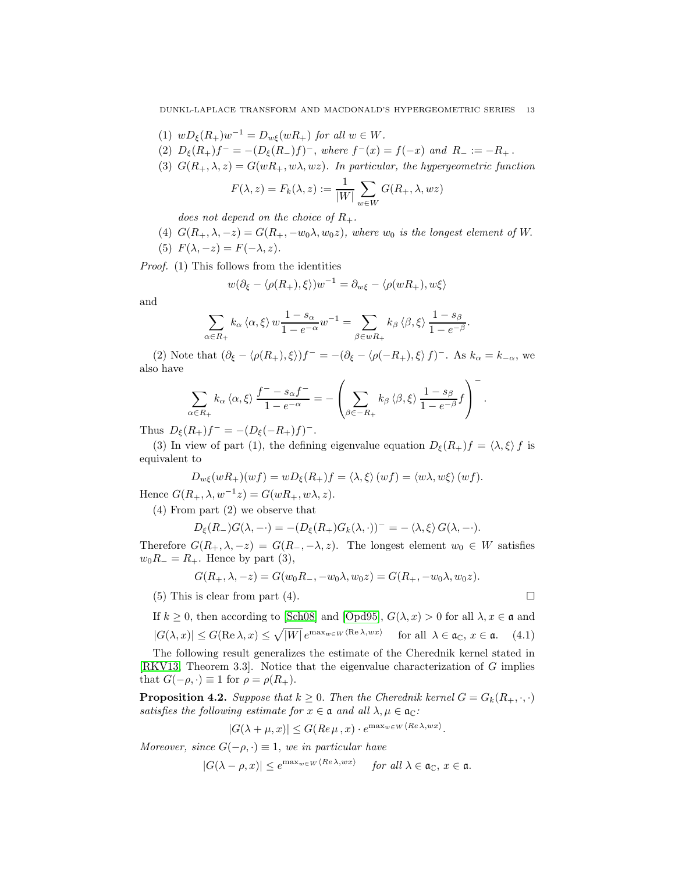- (1)  $wD_{\xi}(R_{+})w^{-1} = D_{w\xi}(wR_{+})$  for all  $w \in W$ .
- (2)  $D_{\xi}(R_{+})f^{-} = -(D_{\xi}(R_{-})f)^{-}$ , where  $f^{-}(x) = f(-x)$  and  $R_{-} := -R_{+}$ .
- (3)  $G(R_+,\lambda,z) = G(wR_+,w\lambda,wz)$ . In particular, the hypergeometric function

$$
F(\lambda, z) = F_k(\lambda, z) := \frac{1}{|W|} \sum_{w \in W} G(R_+, \lambda, wz)
$$

does not depend on the choice of  $R_+$ .

- (4)  $G(R_+,\lambda,-z) = G(R_+,-w_0\lambda,w_0z)$ , where  $w_0$  is the longest element of W.
- (5)  $F(\lambda, -z) = F(-\lambda, z)$ .

Proof. (1) This follows from the identities

$$
w(\partial_{\xi} - \langle \rho(R_+), \xi \rangle)w^{-1} = \partial_{w\xi} - \langle \rho(wR_+), w\xi \rangle
$$

and

$$
\sum_{\alpha \in R_+} k_{\alpha} \langle \alpha, \xi \rangle w \frac{1 - s_{\alpha}}{1 - e^{-\alpha}} w^{-1} = \sum_{\beta \in wR_+} k_{\beta} \langle \beta, \xi \rangle \frac{1 - s_{\beta}}{1 - e^{-\beta}}.
$$

(2) Note that  $(\partial_{\xi} - \langle \rho(R_+), \xi \rangle) f^- = -(\partial_{\xi} - \langle \rho(-R_+), \xi \rangle f)^-$ . As  $k_{\alpha} = k_{-\alpha}$ , we also have

$$
\sum_{\alpha \in R_+} k_{\alpha} \langle \alpha, \xi \rangle \frac{f^- - s_{\alpha} f^-}{1 - e^{-\alpha}} = - \left( \sum_{\beta \in -R_+} k_{\beta} \langle \beta, \xi \rangle \frac{1 - s_{\beta}}{1 - e^{-\beta}} f \right)^{-}.
$$

Thus  $D_{\xi}(R_{+})f^{-} = -(D_{\xi}(-R_{+})f)^{-}$ .

(3) In view of part (1), the defining eigenvalue equation  $D_{\xi}(R_{+})f = \langle \lambda, \xi \rangle f$  is equivalent to

$$
D_{w\xi}(wR_{+})(wf) = wD_{\xi}(R_{+})f = \langle \lambda, \xi \rangle (wf) = \langle w\lambda, w\xi \rangle (wf).
$$

Hence  $G(R_+, \lambda, w^{-1}z) = G(wR_+, w\lambda, z)$ .

(4) From part (2) we observe that

$$
D_{\xi}(R_{-})G(\lambda, -\cdot) = -(D_{\xi}(R_{+})G_{k}(\lambda, \cdot))^{-} = -\langle \lambda, \xi \rangle G(\lambda, -\cdot).
$$

Therefore  $G(R_+,\lambda,-z) = G(R_-,-\lambda,z)$ . The longest element  $w_0 \in W$  satisfies  $w_0R_ = R_+$ . Hence by part (3),

$$
G(R_+, \lambda, -z) = G(w_0 R_-, -w_0 \lambda, w_0 z) = G(R_+, -w_0 \lambda, w_0 z).
$$

(5) This is clear from part (4).

$$
\qquad \qquad \Box
$$

<span id="page-12-0"></span>If  $k \geq 0$ , then according to [\[Sch08\]](#page-27-4) and [\[Opd95\]](#page-26-10),  $G(\lambda, x) > 0$  for all  $\lambda, x \in \mathfrak{a}$  and  $|G(\lambda, x)| \le G(\text{Re }\lambda, x) \le \sqrt{|W|} e^{\max_{w \in W} \langle \text{Re }\lambda, wx \rangle}$  for all  $\lambda \in \mathfrak{a}_{\mathbb{C}}, x \in \mathfrak{a}.$  (4.1)

The following result generalizes the estimate of the Cherednik kernel stated in [\[RKV13,](#page-27-1) Theorem 3.3]. Notice that the eigenvalue characterization of G implies that  $G(-\rho, \cdot) \equiv 1$  for  $\rho = \rho(R_+).$ 

<span id="page-12-1"></span>**Proposition 4.2.** Suppose that  $k \geq 0$ . Then the Cherednik kernel  $G = G_k(R_+, \cdot, \cdot)$ satisfies the following estimate for  $x \in \mathfrak{a}$  and all  $\lambda, \mu \in \mathfrak{a}_{\mathbb{C}}$ :

$$
|G(\lambda + \mu, x)| \le G(Re \mu, x) \cdot e^{\max_{w \in W} \langle Re \lambda, wx \rangle}.
$$

Moreover, since  $G(-\rho, \cdot) \equiv 1$ , we in particular have

$$
|G(\lambda - \rho, x)| \leq e^{\max_{w \in W} \langle Re \, \lambda, w x \rangle} \quad \textit{ for all } \lambda \in \mathfrak{a}_{\mathbb{C}}, \, x \in \mathfrak{a}.
$$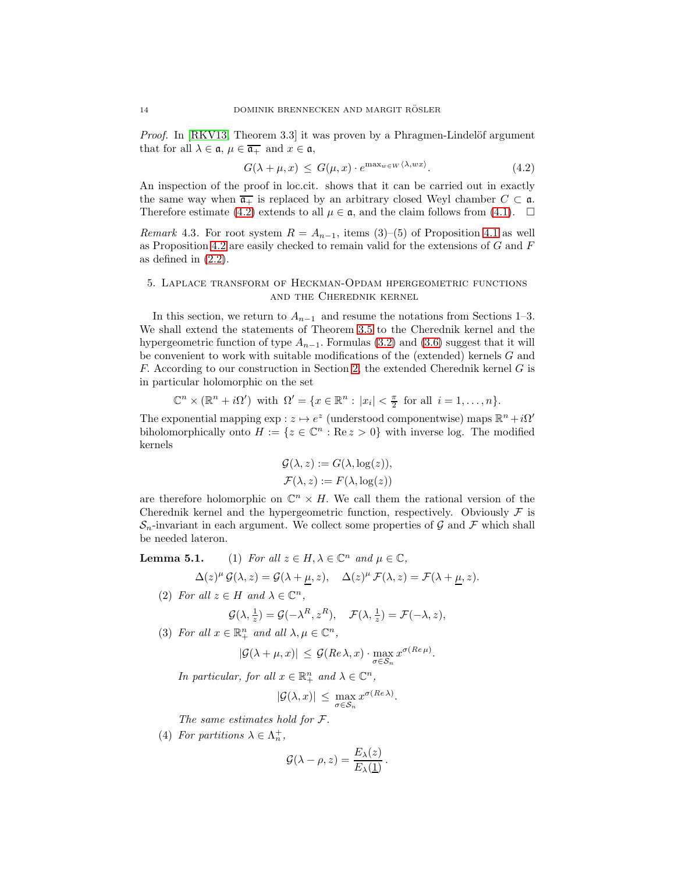*Proof.* In  $\lceil RKV13, Theorem 3.3 \rceil$  it was proven by a Phragmen-Lindelöf argument that for all  $\lambda \in \mathfrak{a}, \mu \in \overline{\mathfrak{a}_+}$  and  $x \in \mathfrak{a},$ 

<span id="page-13-0"></span>
$$
G(\lambda + \mu, x) \le G(\mu, x) \cdot e^{\max_{w \in W} \langle \lambda, wx \rangle}.
$$
\n(4.2)

An inspection of the proof in loc.cit. shows that it can be carried out in exactly the same way when  $\overline{\mathfrak{a}_+}$  is replaced by an arbitrary closed Weyl chamber  $C \subset \mathfrak{a}$ . Therefore estimate [\(4.2\)](#page-13-0) extends to all  $\mu \in \mathfrak{a}$ , and the claim follows from [\(4.1\)](#page-12-0).  $\Box$ 

*Remark* 4.3. For root system  $R = A_{n-1}$ , items (3)–(5) of Proposition [4.1](#page-11-0) as well as Proposition [4.2](#page-12-1) are easily checked to remain valid for the extensions of  $G$  and  $F$ as defined in [\(2.2\)](#page-5-3).

## 5. Laplace transform of Heckman-Opdam hpergeometric functions and the Cherednik kernel

In this section, we return to  $A_{n-1}$  and resume the notations from Sections 1–3. We shall extend the statements of Theorem [3.5](#page-11-1) to the Cherednik kernel and the hypergeometric function of type  $A_{n-1}$ . Formulas [\(3.2\)](#page-7-0) and [\(3.6\)](#page-7-1) suggest that it will be convenient to work with suitable modifications of the (extended) kernels G and F. According to our construction in Section [2,](#page-3-0) the extended Cherednik kernel  $G$  is in particular holomorphic on the set

$$
\mathbb{C}^n \times (\mathbb{R}^n + i\Omega') \text{ with } \Omega' = \{x \in \mathbb{R}^n : |x_i| < \frac{\pi}{2} \text{ for all } i = 1, \dots, n\}.
$$

The exponential mapping  $\exp : z \mapsto e^z$  (understood componentwise) maps  $\mathbb{R}^n + i\Omega'$ biholomorphically onto  $H := \{z \in \mathbb{C}^n : \text{Re } z > 0\}$  with inverse log. The modified kernels

$$
\mathcal{G}(\lambda, z) := G(\lambda, \log(z)),
$$
  

$$
\mathcal{F}(\lambda, z) := F(\lambda, \log(z))
$$

are therefore holomorphic on  $\mathbb{C}^n \times H$ . We call them the rational version of the Cherednik kernel and the hypergeometric function, respectively. Obviously  $\mathcal F$  is  $\mathcal{S}_n$ -invariant in each argument. We collect some properties of G and F which shall be needed lateron.

**Lemma 5.1.** (1) For all  $z \in H$ ,  $\lambda \in \mathbb{C}^n$  and  $\mu \in \mathbb{C}$ ,

$$
\Delta(z)^{\mu} \mathcal{G}(\lambda, z) = \mathcal{G}(\lambda + \mu, z), \quad \Delta(z)^{\mu} \mathcal{F}(\lambda, z) = \mathcal{F}(\lambda + \mu, z).
$$

(2) For all  $z \in H$  and  $\lambda \in \mathbb{C}^n$ ,

$$
\mathcal{G}(\lambda,\tfrac{1}{z})=\mathcal{G}(-\lambda^R,z^R),\quad \mathcal{F}(\lambda,\tfrac{1}{z})=\mathcal{F}(-\lambda,z),
$$

(3) For all  $x \in \mathbb{R}^n_+$  and all  $\lambda, \mu \in \mathbb{C}^n$ ,

$$
|\mathcal{G}(\lambda + \mu, x)| \leq \mathcal{G}(Re \lambda, x) \cdot \max_{\sigma \in \mathcal{S}_n} x^{\sigma(Re \mu)}
$$

.

In particular, for all  $x \in \mathbb{R}^n_+$  and  $\lambda \in \mathbb{C}^n$ ,

$$
|\mathcal{G}(\lambda, x)| \leq \max_{\sigma \in \mathcal{S}_n} x^{\sigma(Re \lambda)}.
$$

The same estimates hold for F.

(4) For partitions  $\lambda \in \Lambda_n^+$ ,

$$
\mathcal{G}(\lambda - \rho, z) = \frac{E_{\lambda}(z)}{E_{\lambda}(\underline{1})}.
$$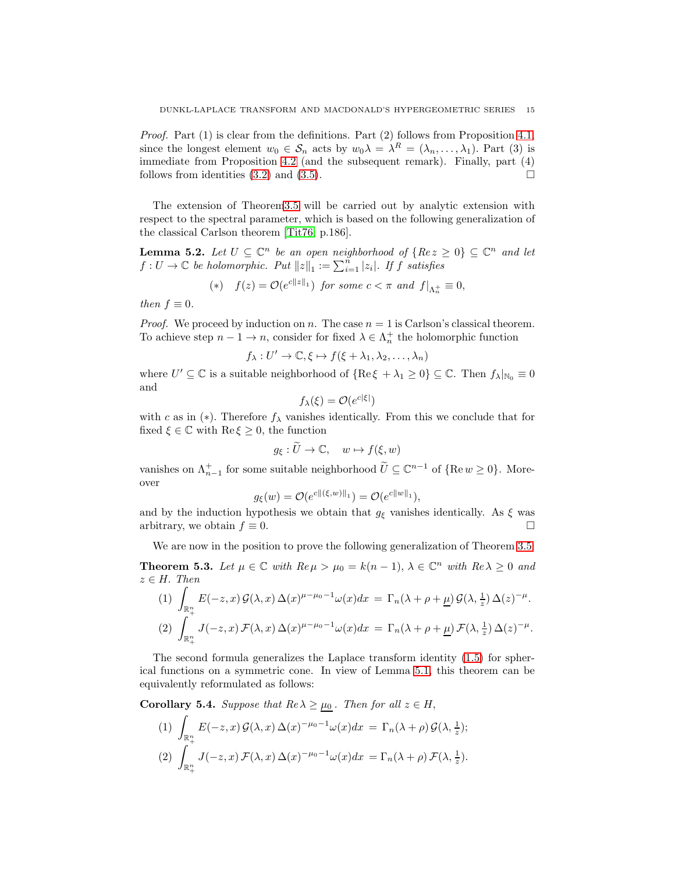Proof. Part (1) is clear from the definitions. Part (2) follows from Proposition [4.1,](#page-11-0) since the longest element  $w_0 \in S_n$  acts by  $w_0 \lambda = \lambda^R = (\lambda_n, \dots, \lambda_1)$ . Part (3) is immediate from Proposition [4.2](#page-12-1) (and the subsequent remark). Finally, part (4) follows from identities  $(3.2)$  and  $(3.5)$ .

The extension of Theore[m3.5](#page-11-1) will be carried out by analytic extension with respect to the spectral parameter, which is based on the following generalization of the classical Carlson theorem [\[Tit76,](#page-27-5) p.186].

<span id="page-14-1"></span>**Lemma 5.2.** Let  $U \subseteq \mathbb{C}^n$  be an open neighborhood of  $\{Re\ z \geq 0\} \subseteq \mathbb{C}^n$  and let  $f: U \to \mathbb{C}$  be holomorphic. Put  $||z||_1 := \sum_{i=1}^n |z_i|$ . If f satisfies

(\*) 
$$
f(z) = O(e^{c||z||_1})
$$
 for some  $c < \pi$  and  $f|_{\Lambda_n^+} \equiv 0$ ,

then  $f \equiv 0$ .

*Proof.* We proceed by induction on n. The case  $n = 1$  is Carlson's classical theorem. To achieve step  $n-1 \to n$ , consider for fixed  $\lambda \in \Lambda_n^+$  the holomorphic function

$$
f_{\lambda}: U' \to \mathbb{C}, \xi \mapsto f(\xi + \lambda_1, \lambda_2, \dots, \lambda_n)
$$

where  $U' \subseteq \mathbb{C}$  is a suitable neighborhood of  $\{ \text{Re} \xi + \lambda_1 \geq 0 \} \subseteq \mathbb{C}$ . Then  $f_{\lambda}|_{\mathbb{N}_0} \equiv 0$ and

$$
f_{\lambda}(\xi) = \mathcal{O}(e^{c|\xi|})
$$

with c as in (\*). Therefore  $f_{\lambda}$  vanishes identically. From this we conclude that for fixed  $\xi \in \mathbb{C}$  with  $\text{Re}\,\xi \geq 0$ , the function

$$
g_{\xi}: \widetilde{U} \to \mathbb{C}, \quad w \mapsto f(\xi, w)
$$

vanishes on  $\Lambda_{n-1}^+$  for some suitable neighborhood  $\widetilde{U} \subseteq \mathbb{C}^{n-1}$  of  $\{\text{Re } w \geq 0\}$ . Moreover

$$
g_{\xi}(w) = \mathcal{O}(e^{c ||(\xi, w)||_1}) = \mathcal{O}(e^{c ||w||_1}),
$$

and by the induction hypothesis we obtain that  $g_{\xi}$  vanishes identically. As  $\xi$  was arbitrary, we obtain  $f \equiv 0$ .

<span id="page-14-0"></span>We are now in the position to prove the following generalization of Theorem [3.5:](#page-11-1) **Theorem 5.3.** Let  $\mu \in \mathbb{C}$  with  $Re \mu > \mu_0 = k(n-1)$ ,  $\lambda \in \mathbb{C}^n$  with  $Re \lambda \geq 0$  and  $z \in H$ . Then

(1) 
$$
\int_{\mathbb{R}_+^n} E(-z,x) \mathcal{G}(\lambda,x) \Delta(x)^{\mu-\mu_0-1} \omega(x) dx = \Gamma_n(\lambda+\rho+\underline{\mu}) \mathcal{G}(\lambda,\frac{1}{z}) \Delta(z)^{-\mu}.
$$
  
\n(2) 
$$
\int_{\mathbb{R}_+^n} J(-z,x) \mathcal{F}(\lambda,x) \Delta(x)^{\mu-\mu_0-1} \omega(x) dx = \Gamma_n(\lambda+\rho+\underline{\mu}) \mathcal{F}(\lambda,\frac{1}{z}) \Delta(z)^{-\mu}.
$$

The second formula generalizes the Laplace transform identity [\(1.5\)](#page-2-1) for spherical functions on a symmetric cone. In view of Lemma 5.1, this theorem can be equivalently reformulated as follows:

**Corollary 5.4.** Suppose that  $Re \lambda \geq \mu_0$ . Then for all  $z \in H$ ,

(1) 
$$
\int_{\mathbb{R}^n_+} E(-z,x) \mathcal{G}(\lambda,x) \Delta(x)^{-\mu_0-1} \omega(x) dx = \Gamma_n(\lambda+\rho) \mathcal{G}(\lambda,\frac{1}{z});
$$
  
\n(2) 
$$
\int_{\mathbb{R}^n_+} J(-z,x) \mathcal{F}(\lambda,x) \Delta(x)^{-\mu_0-1} \omega(x) dx = \Gamma_n(\lambda+\rho) \mathcal{F}(\lambda,\frac{1}{z}).
$$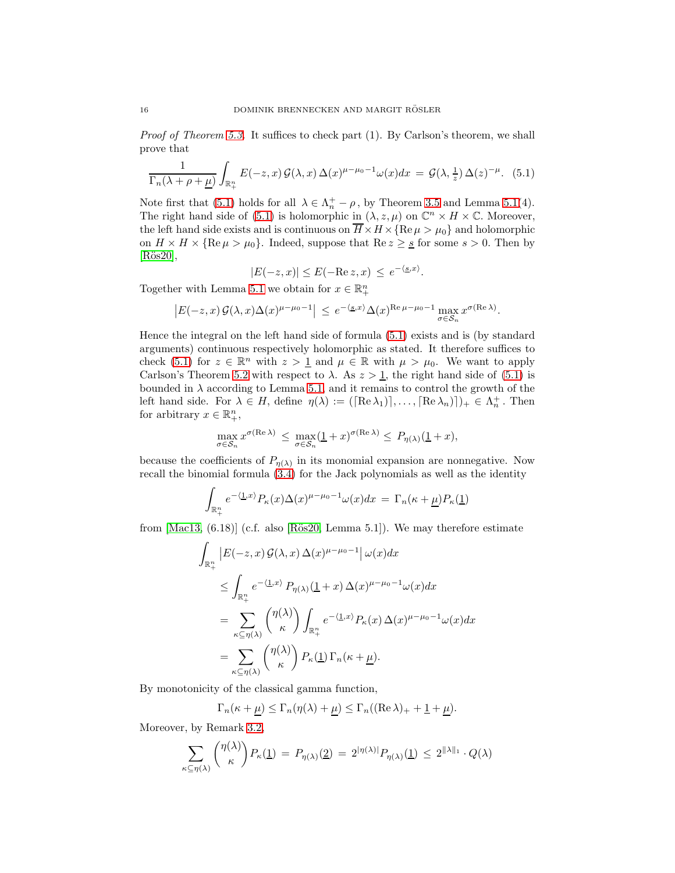Proof of Theorem [5.3.](#page-14-0) It suffices to check part (1). By Carlson's theorem, we shall prove that

<span id="page-15-0"></span>
$$
\frac{1}{\Gamma_n(\lambda+\rho+\underline{\mu})}\int_{\mathbb{R}_+^n}E(-z,x)\,\mathcal{G}(\lambda,x)\,\Delta(x)^{\mu-\mu_0-1}\omega(x)dx\,=\,\mathcal{G}(\lambda,\tfrac{1}{z})\,\Delta(z)^{-\mu}.\tag{5.1}
$$

Note first that [\(5.1\)](#page-15-0) holds for all  $\lambda \in \Lambda_n^+ - \rho$ , by Theorem [3.5](#page-11-1) and Lemma 5.1(4). The right hand side of [\(5.1\)](#page-15-0) is holomorphic in  $(\lambda, z, \mu)$  on  $\mathbb{C}^n \times H \times \mathbb{C}$ . Moreover, the left hand side exists and is continuous on  $\overline{H} \times H \times \{\text{Re } \mu > \mu_0\}$  and holomorphic on  $H \times H \times \{\text{Re}\,\mu > \mu_0\}$ . Indeed, suppose that  $\text{Re}\,z \geq \underline{s}$  for some  $s > 0$ . Then by  $[R\ddot{o}s20],$ 

$$
|E(-z,x)| \le E(-\operatorname{Re} z, x) \le e^{-\langle \underline{s}, x \rangle}.
$$

Together with Lemma 5.1 we obtain for  $x \in \mathbb{R}^n_+$ 

$$
\left| E(-z,x) \mathcal{G}(\lambda,x) \Delta(x)^{\mu-\mu_0-1} \right| \leq e^{-\langle \underline{s},x \rangle} \Delta(x)^{\operatorname{Re}\mu-\mu_0-1} \max_{\sigma \in \mathcal{S}_n} x^{\sigma(\operatorname{Re}\lambda)}.
$$

Hence the integral on the left hand side of formula [\(5.1\)](#page-15-0) exists and is (by standard arguments) continuous respectively holomorphic as stated. It therefore suffices to check [\(5.1\)](#page-15-0) for  $z \in \mathbb{R}^n$  with  $z > 1$  and  $\mu \in \mathbb{R}$  with  $\mu > \mu_0$ . We want to apply Carlson's Theorem [5.2](#page-14-1) with respect to  $\lambda$ . As  $z > 1$ , the right hand side of [\(5.1\)](#page-15-0) is bounded in  $\lambda$  according to Lemma 5.1, and it remains to control the growth of the left hand side. For  $\lambda \in H$ , define  $\eta(\lambda) := (\lceil \text{Re } \lambda_1 \rceil, \dots, \lceil \text{Re } \lambda_n \rceil) \to \in \Lambda_n^+$ . Then for arbitrary  $x \in \mathbb{R}^n_+,$ 

$$
\max_{\sigma \in \mathcal{S}_n} x^{\sigma(\text{Re }\lambda)} \, \leq \, \max_{\sigma \in \mathcal{S}_n} (\underline{1}+x)^{\sigma(\text{Re }\lambda)} \leq \, P_{\eta(\lambda)}(\underline{1}+x),
$$

because the coefficients of  $P_{\eta(\lambda)}$  in its monomial expansion are nonnegative. Now recall the binomial formula  $(3.4)$  for the Jack polynomials as well as the identity

$$
\int_{\mathbb{R}^n_+} e^{-\langle \underline{1}, x \rangle} P_{\kappa}(x) \Delta(x)^{\mu - \mu_0 - 1} \omega(x) dx = \Gamma_n(\kappa + \underline{\mu}) P_{\kappa}(\underline{1})
$$

from  $[\text{Mac13}, (6.18)]$  (c.f. also  $[\text{Rös20}, \text{Lemma } 5.1]$ ). We may therefore estimate

$$
\int_{\mathbb{R}^n_+} \left| E(-z, x) \mathcal{G}(\lambda, x) \Delta(x)^{\mu - \mu_0 - 1} \right| \omega(x) dx
$$
\n
$$
\leq \int_{\mathbb{R}^n_+} e^{-\langle \underline{1}, x \rangle} P_{\eta(\lambda)}(\underline{1} + x) \Delta(x)^{\mu - \mu_0 - 1} \omega(x) dx
$$
\n
$$
= \sum_{\kappa \subseteq \eta(\lambda)} \binom{\eta(\lambda)}{\kappa} \int_{\mathbb{R}^n_+} e^{-\langle \underline{1}, x \rangle} P_{\kappa}(x) \Delta(x)^{\mu - \mu_0 - 1} \omega(x) dx
$$
\n
$$
= \sum_{\kappa \subseteq \eta(\lambda)} \binom{\eta(\lambda)}{\kappa} P_{\kappa}(\underline{1}) \Gamma_n(\kappa + \underline{\mu}).
$$

By monotonicity of the classical gamma function,

$$
\Gamma_n(\kappa + \underline{\mu}) \le \Gamma_n(\eta(\lambda) + \underline{\mu}) \le \Gamma_n((\text{Re }\lambda)_+ + \underline{1} + \underline{\mu}).
$$

Moreover, by Remark [3.2,](#page-8-1)

$$
\sum_{\kappa \subseteq \eta(\lambda)} \binom{\eta(\lambda)}{\kappa} P_{\kappa}(\underline{1}) = P_{\eta(\lambda)}(\underline{2}) = 2^{|\eta(\lambda)|} P_{\eta(\lambda)}(\underline{1}) \le 2^{\|\lambda\|_1} \cdot Q(\lambda)
$$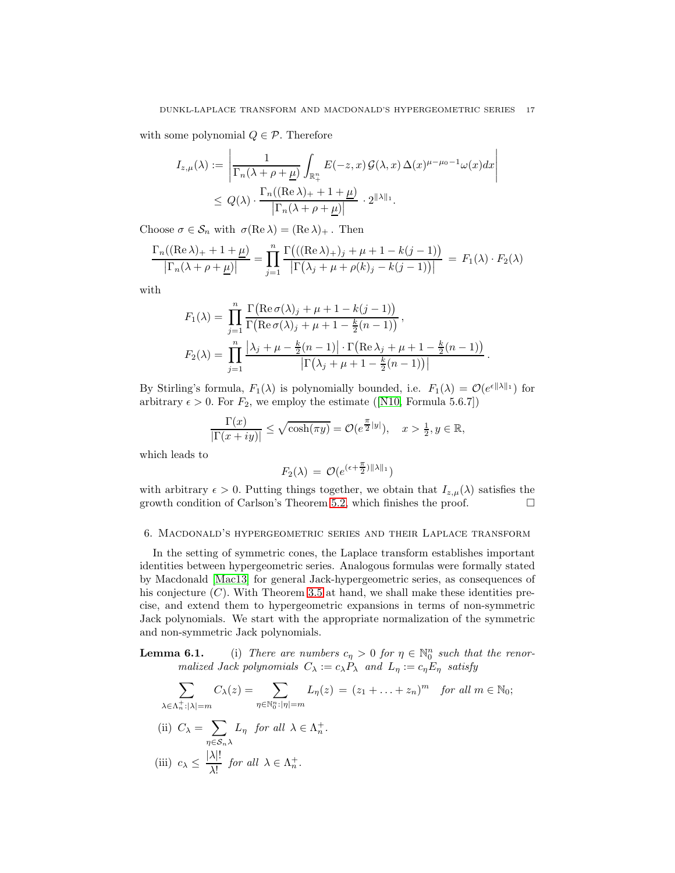with some polynomial  $Q \in \mathcal{P}$ . Therefore

$$
I_{z,\mu}(\lambda) := \left| \frac{1}{\Gamma_n(\lambda + \rho + \underline{\mu})} \int_{\mathbb{R}^n_+} E(-z, x) \mathcal{G}(\lambda, x) \Delta(x)^{\mu - \mu_0 - 1} \omega(x) dx \right|
$$
  
 
$$
\leq Q(\lambda) \cdot \frac{\Gamma_n((\text{Re }\lambda)_+ + 1 + \underline{\mu})}{|\Gamma_n(\lambda + \rho + \underline{\mu})|} \cdot 2^{\|\lambda\|_1}.
$$

Choose  $\sigma \in \mathcal{S}_n$  with  $\sigma(\text{Re }\lambda) = (\text{Re }\lambda)_+$ . Then

$$
\frac{\Gamma_n((\text{Re }\lambda)_+ + 1 + \underline{\mu})}{|\Gamma_n(\lambda + \rho + \underline{\mu})|} = \prod_{j=1}^n \frac{\Gamma((\text{Re }\lambda)_+)_j + \mu + 1 - k(j-1))}{|\Gamma(\lambda_j + \mu + \rho(k)_j - k(j-1))|} = F_1(\lambda) \cdot F_2(\lambda)
$$

with

$$
F_1(\lambda) = \prod_{j=1}^n \frac{\Gamma(\text{Re}\,\sigma(\lambda)_j + \mu + 1 - k(j-1))}{\Gamma(\text{Re}\,\sigma(\lambda)_j + \mu + 1 - \frac{k}{2}(n-1))},
$$
  
\n
$$
F_2(\lambda) = \prod_{j=1}^n \frac{|\lambda_j + \mu - \frac{k}{2}(n-1)| \cdot \Gamma(\text{Re}\,\lambda_j + \mu + 1 - \frac{k}{2}(n-1))}{|\Gamma(\lambda_j + \mu + 1 - \frac{k}{2}(n-1))|}.
$$

By Stirling's formula,  $F_1(\lambda)$  is polynomially bounded, i.e.  $F_1(\lambda) = \mathcal{O}(e^{\epsilon \|\lambda\|_1})$  for arbitrary $\epsilon > 0$ . For  $F_2$ , we employ the estimate ([\[N10,](#page-26-20) Formula 5.6.7])

$$
\frac{\Gamma(x)}{|\Gamma(x+iy)|} \le \sqrt{\cosh(\pi y)} = \mathcal{O}(e^{\frac{\pi}{2}|y|}), \quad x > \frac{1}{2}, y \in \mathbb{R},
$$

which leads to

$$
F_2(\lambda) = \mathcal{O}(e^{(\epsilon + \frac{\pi}{2})||\lambda||_1})
$$

with arbitrary  $\epsilon > 0$ . Putting things together, we obtain that  $I_{z,\mu}(\lambda)$  satisfies the growth condition of Carlson's Theorem [5.2,](#page-14-1) which finishes the proof.  $\Box$ 

## 6. Macdonald's hypergeometric series and their Laplace transform

In the setting of symmetric cones, the Laplace transform establishes important identities between hypergeometric series. Analogous formulas were formally stated by Macdonald [\[Mac13\]](#page-26-1) for general Jack-hypergeometric series, as consequences of his conjecture  $(C)$ . With Theorem [3.5](#page-11-1) at hand, we shall make these identities precise, and extend them to hypergeometric expansions in terms of non-symmetric Jack polynomials. We start with the appropriate normalization of the symmetric and non-symmetric Jack polynomials.

**Lemma 6.1.** (i) There are numbers  $c_{\eta} > 0$  for  $\eta \in \mathbb{N}_0^n$  such that the renormalized Jack polynomials  $C_{\lambda} := c_{\lambda} P_{\lambda}$  and  $L_{\eta} := c_{\eta} E_{\eta}$  satisfy

$$
\sum_{\lambda \in \Lambda_n^+ : |\lambda| = m} C_{\lambda}(z) = \sum_{\eta \in \mathbb{N}_0^n : |\eta| = m} L_{\eta}(z) = (z_1 + \ldots + z_n)^m \text{ for all } m \in \mathbb{N}_0;
$$

(ii) 
$$
C_{\lambda} = \sum_{\eta \in S_n \lambda} L_{\eta}
$$
 for all  $\lambda \in \Lambda_n^+$ .  
\n(iii)  $c_{\lambda} < |\lambda|!$  for all  $\lambda \in \Lambda^+$ 

(iii) 
$$
c_{\lambda} \le \frac{|\lambda|}{\lambda!}
$$
 for all  $\lambda \in \Lambda_n^+$ .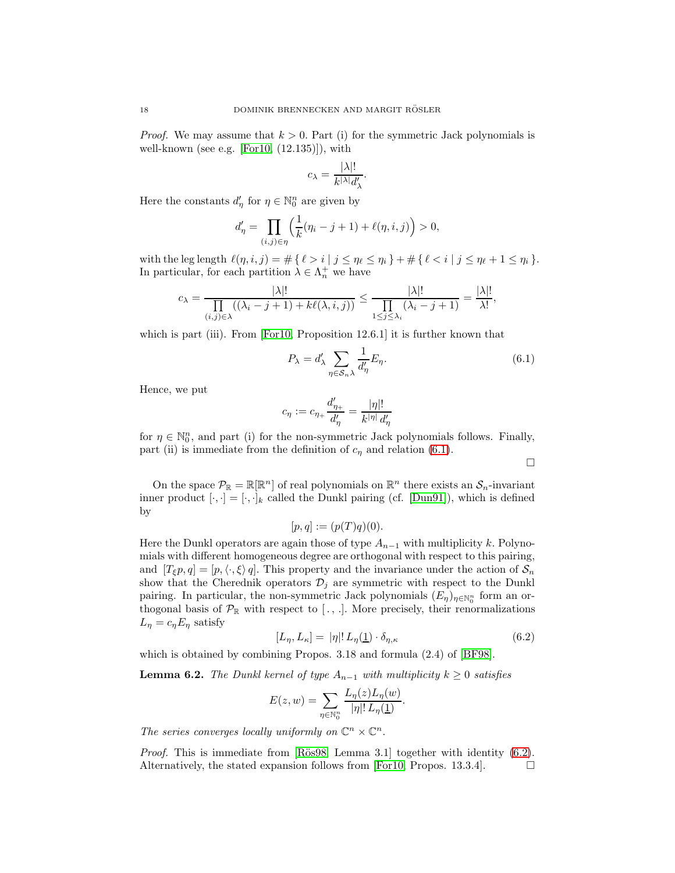*Proof.* We may assume that  $k > 0$ . Part (i) for the symmetric Jack polynomials is well-known (see e.g. [\[For10,](#page-26-19) (12.135)]), with

$$
c_\lambda=\frac{|\lambda|!}{k^{|\lambda|}d_\lambda'}.
$$

Here the constants  $d'_{\eta}$  for  $\eta \in \mathbb{N}_0^n$  are given by

$$
d'_{\eta} = \prod_{(i,j)\in\eta} \left( \frac{1}{k} (\eta_i - j + 1) + \ell(\eta, i, j) \right) > 0,
$$

with the leg length  $\ell(\eta, i, j) = \#\{ \ell > i \mid j \leq \eta_\ell \leq \eta_i \} + \#\{ \ell < i \mid j \leq \eta_\ell + 1 \leq \eta_i \}.$ In particular, for each partition  $\lambda \in \Lambda_n^+$  we have

$$
c_{\lambda} = \frac{|\lambda|!}{\prod\limits_{(i,j)\in\lambda}((\lambda_i-j+1)+k\ell(\lambda,i,j))} \leq \frac{|\lambda|!}{\prod\limits_{1\leq j\leq\lambda_i}(\lambda_i-j+1)} = \frac{|\lambda|!}{\lambda!},
$$

which is part (iii). From [\[For10,](#page-26-19) Proposition 12.6.1] it is further known that

<span id="page-17-0"></span>
$$
P_{\lambda} = d'_{\lambda} \sum_{\eta \in S_n \lambda} \frac{1}{d'_{\eta}} E_{\eta}.
$$
\n(6.1)

Hence, we put

$$
c_{\eta} := c_{\eta_+} \frac{d'_{\eta_+}}{d'_{\eta}} = \frac{|\eta|!}{k^{|\eta|} d'_{\eta}}
$$

for  $\eta \in \mathbb{N}_0^n$ , and part (i) for the non-symmetric Jack polynomials follows. Finally, part (ii) is immediate from the definition of  $c<sub>\eta</sub>$  and relation [\(6.1\)](#page-17-0).

 $\Box$ 

On the space  $\mathcal{P}_{\mathbb{R}} = \mathbb{R}[\mathbb{R}^n]$  of real polynomials on  $\mathbb{R}^n$  there exists an  $\mathcal{S}_n$ -invariant inner product  $[\cdot, \cdot] = [\cdot, \cdot]_k$  called the Dunkl pairing (cf. [\[Dun91\]](#page-26-21)), which is defined by

$$
[p,q] := (p(T)q)(0).
$$

Here the Dunkl operators are again those of type  $A_{n-1}$  with multiplicity k. Polynomials with different homogeneous degree are orthogonal with respect to this pairing, and  $[T_{\xi}p,q] = [p,\langle\cdot,\xi\rangle q]$ . This property and the invariance under the action of  $S_n$ show that the Cherednik operators  $\mathcal{D}_j$  are symmetric with respect to the Dunkl pairing. In particular, the non-symmetric Jack polynomials  $(E_{\eta})_{\eta \in \mathbb{N}_{0}^{n}}$  form an orthogonal basis of  $\mathcal{P}_{\mathbb{R}}$  with respect to [., .]. More precisely, their renormalizations  $L_{\eta} = c_{\eta} E_{\eta}$  satisfy

<span id="page-17-1"></span>
$$
[L_{\eta}, L_{\kappa}] = |\eta|! L_{\eta}(\underline{1}) \cdot \delta_{\eta, \kappa} \tag{6.2}
$$

which is obtained by combining Propos. 3.18 and formula (2.4) of [\[BF98\]](#page-26-9).

<span id="page-17-2"></span>**Lemma 6.2.** The Dunkl kernel of type  $A_{n-1}$  with multiplicity  $k \geq 0$  satisfies

$$
E(z, w) = \sum_{\eta \in \mathbb{N}_0^n} \frac{L_{\eta}(z)L_{\eta}(w)}{|\eta|! L_{\eta}(\underline{1})}.
$$

The series converges locally uniformly on  $\mathbb{C}^n \times \mathbb{C}^n$ .

*Proof.* This is immediate from [Rös98, Lemma 3.1] together with identity  $(6.2)$ . Alternatively, the stated expansion follows from [For 10, Propos. 13.3.4].  $\Box$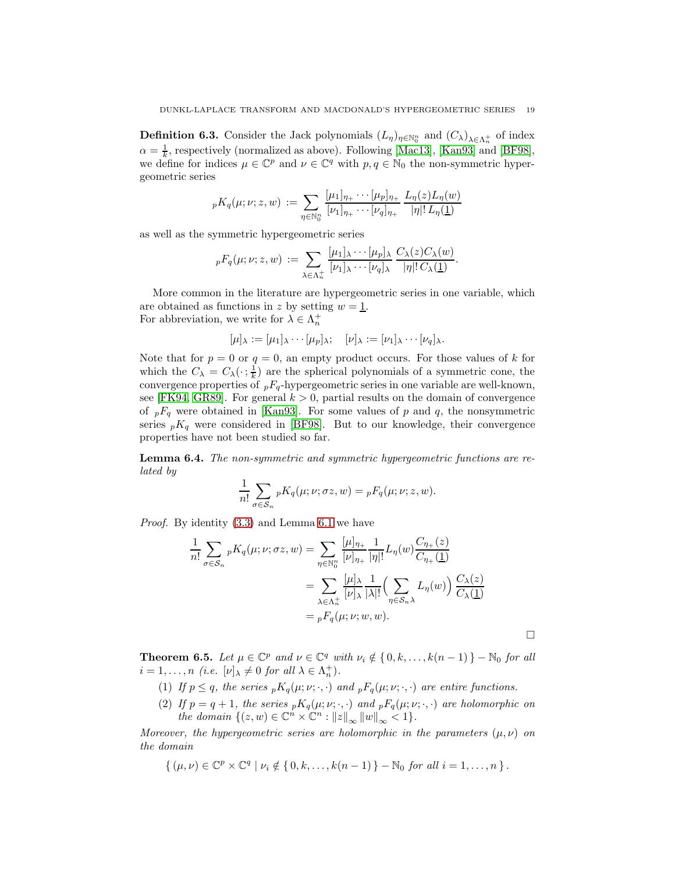**Definition 6.3.** Consider the Jack polynomials  $(L_{\eta})_{\eta \in \mathbb{N}_{0}^{n}}$  and  $(C_{\lambda})_{\lambda \in \Lambda_{n}^{+}}$  of index  $\alpha = \frac{1}{k}$ , respectively (normalized as above). Following [\[Mac13\]](#page-26-1), [\[Kan93\]](#page-26-6) and [\[BF98\]](#page-26-9), we define for indices  $\mu \in \mathbb{C}^p$  and  $\nu \in \mathbb{C}^q$  with  $p, q \in \mathbb{N}_0$  the non-symmetric hypergeometric series

$$
{}_{p}K_{q}(\mu;\nu;z,w) := \sum_{\eta \in \mathbb{N}_{0}^{n}} \frac{[\mu_{1}]_{\eta_{+}} \cdots [\mu_{p}]_{\eta_{+}}}{[\nu_{1}]_{\eta_{+}} \cdots [\nu_{q}]_{\eta_{+}}} \frac{L_{\eta}(z)L_{\eta}(w)}{|\eta|! L_{\eta}(1)}
$$

as well as the symmetric hypergeometric series

$$
{}_pF_q(\mu;\nu;z,w) := \sum_{\lambda \in \Lambda_n^+} \frac{[\mu_1]_\lambda \cdots [\mu_p]_\lambda}{[\nu_1]_\lambda \cdots [\nu_q]_\lambda} \frac{C_\lambda(z) C_\lambda(w)}{|\eta|! C_\lambda(\underline{1})}.
$$

More common in the literature are hypergeometric series in one variable, which are obtained as functions in z by setting  $w = 1$ . For abbreviation, we write for  $\lambda \in \Lambda_n^+$ 

$$
[\mu]_{\lambda} := [\mu_1]_{\lambda} \cdots [\mu_p]_{\lambda}; \quad [\nu]_{\lambda} := [\nu_1]_{\lambda} \cdots [\nu_q]_{\lambda}.
$$

Note that for  $p = 0$  or  $q = 0$ , an empty product occurs. For those values of k for which the  $C_{\lambda} = C_{\lambda}(\cdot; \frac{1}{k})$  are the spherical polynomials of a symmetric cone, the convergence properties of  ${}_{p}F_{q}$ -hypergeometric series in one variable are well-known, see [\[FK94,](#page-26-2) [GR89\]](#page-26-5). For general  $k > 0$ , partial results on the domain of convergence of  $pF_q$  were obtained in [\[Kan93\]](#page-26-6). For some values of p and q, the nonsymmetric series  $pK_q$  were considered in [\[BF98\]](#page-26-9). But to our knowledge, their convergence properties have not been studied so far.

Lemma 6.4. The non-symmetric and symmetric hypergeometric functions are related by

$$
\frac{1}{n!} \sum_{\sigma \in S_n} {}_pK_q(\mu; \nu; \sigma z, w) = {}_pF_q(\mu; \nu; z, w).
$$

Proof. By identity [\(3.3\)](#page-7-4) and Lemma 6.1 we have

$$
\frac{1}{n!} \sum_{\sigma \in S_n} {}_{p}K_q(\mu; \nu; \sigma z, w) = \sum_{\eta \in \mathbb{N}_0^n} \frac{[\mu]_{\eta_+}}{[\nu]_{\eta_+}} \frac{1}{|\eta|!} L_\eta(w) \frac{C_{\eta_+}(z)}{C_{\eta_+}(\underline{1})}
$$

$$
= \sum_{\lambda \in \Lambda_n^+} \frac{[\mu]_{\lambda}}{[\nu]_{\lambda}} \frac{1}{|\lambda|!} \Big(\sum_{\eta \in S_n} L_\eta(w)\Big) \frac{C_{\lambda}(z)}{C_{\lambda}(\underline{1})}
$$

$$
= {}_{p}F_q(\mu; \nu; w, w).
$$

<span id="page-18-0"></span>**Theorem 6.5.** Let  $\mu \in \mathbb{C}^p$  and  $\nu \in \mathbb{C}^q$  with  $\nu_i \notin \{0, k, \ldots, k(n-1)\} - \mathbb{N}_0$  for all  $i = 1, \ldots, n$  (i.e.  $[\nu]_{\lambda} \neq 0$  for all  $\lambda \in \Lambda_n^+$ ).

- (1) If  $p \leq q$ , the series  $pK_q(\mu;\nu;\cdot,\cdot)$  and  $pF_q(\mu;\nu;\cdot,\cdot)$  are entire functions.
- (2) If  $p = q + 1$ , the series  $pK_q(\mu; \nu; \cdot, \cdot)$  and  $pF_q(\mu; \nu; \cdot, \cdot)$  are holomorphic on the domain  $\{(z,w)\in\mathbb{C}^n\times\mathbb{C}^n:\|z\|_{\infty}\|w\|_{\infty}<1\}.$

Moreover, the hypergeometric series are holomorphic in the parameters  $(\mu, \nu)$  on the domain

$$
\{(\mu,\nu)\in\mathbb{C}^p\times\mathbb{C}^q\mid\nu_i\notin\{0,k,\ldots,k(n-1)\}-\mathbb{N}_0 \text{ for all }i=1,\ldots,n\}.
$$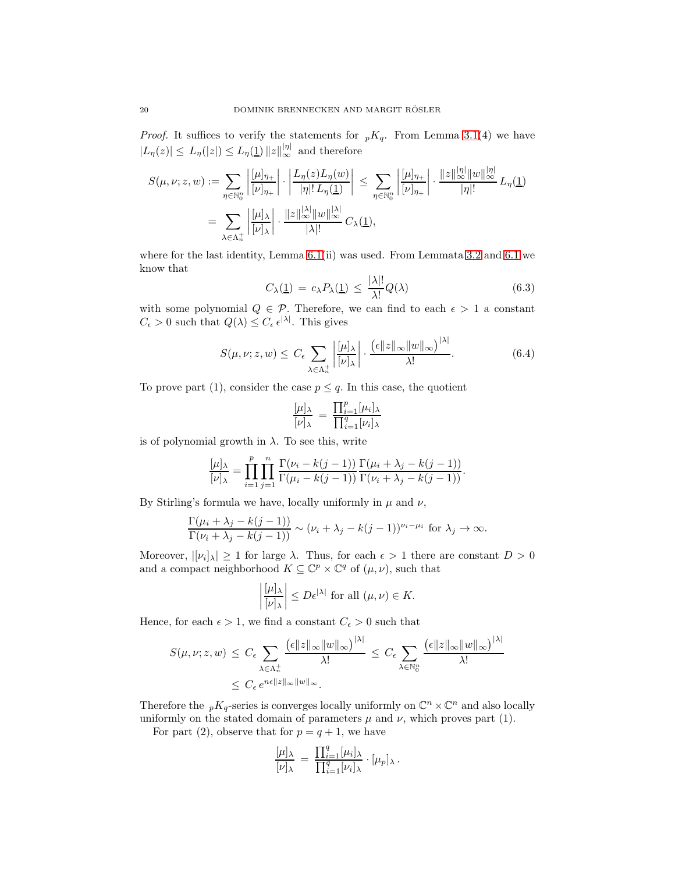*Proof.* It suffices to verify the statements for  $_pK_q$ . From Lemma 3.1(4) we have  $|L_{\eta}(z)| \le L_{\eta}(|z|) \le L_{\eta}(\underline{1}) ||z||_{\infty}^{|\eta|}$  and therefore

$$
S(\mu, \nu; z, w) := \sum_{\eta \in \mathbb{N}_0^n} \left| \frac{[\mu]_{\eta_+}}{[\nu]_{\eta_+}} \right| \cdot \left| \frac{L_{\eta}(z)L_{\eta}(w)}{|\eta|! L_{\eta}(\underline{1})} \right| \le \sum_{\eta \in \mathbb{N}_0^n} \left| \frac{[\mu]_{\eta_+}}{[\nu]_{\eta_+}} \right| \cdot \frac{||z||_{\infty}^{|\eta|} ||w||_{\infty}^{|\eta|}}{|\eta|!} L_{\eta}(\underline{1})
$$

$$
= \sum_{\lambda \in \Lambda_n^+} \left| \frac{[\mu]_{\lambda}}{[\nu]_{\lambda}} \right| \cdot \frac{||z||_{\infty}^{|\lambda|} ||w||_{\infty}^{|\lambda|}}{|\lambda|!} C_{\lambda}(\underline{1}),
$$

where for the last identity, Lemma  $6.1(ii)$  was used. From Lemmata [3.2](#page-8-1) and  $6.1$  we know that

$$
C_{\lambda}(\underline{1}) = c_{\lambda} P_{\lambda}(\underline{1}) \le \frac{|\lambda|!}{\lambda!} Q(\lambda)
$$
\n(6.3)

with some polynomial  $Q \in \mathcal{P}$ . Therefore, we can find to each  $\epsilon > 1$  a constant  $C_{\epsilon} > 0$  such that  $Q(\lambda) \leq C_{\epsilon} \epsilon^{|\lambda|}$ . This gives

<span id="page-19-0"></span>
$$
S(\mu, \nu; z, w) \le C_{\epsilon} \sum_{\lambda \in \Lambda_n^+} \left| \frac{[\mu]_{\lambda}}{[\nu]_{\lambda}} \right| \cdot \frac{\left(\epsilon \|z\|_{\infty} \|w\|_{\infty}\right)^{|\lambda|}}{\lambda!}.
$$
 (6.4)

To prove part (1), consider the case  $p \leq q$ . In this case, the quotient

$$
\frac{[\mu]_\lambda}{[\nu]_\lambda} \, = \, \frac{\prod_{i=1}^p [\mu_i]_\lambda}{\prod_{i=1}^q [\nu_i]_\lambda}
$$

is of polynomial growth in  $\lambda$ . To see this, write

$$
\frac{[\mu]_{\lambda}}{[\nu]_{\lambda}} = \prod_{i=1}^p \prod_{j=1}^n \frac{\Gamma(\nu_i - k(j-1))}{\Gamma(\mu_i - k(j-1))} \frac{\Gamma(\mu_i + \lambda_j - k(j-1))}{\Gamma(\nu_i + \lambda_j - k(j-1))}.
$$

By Stirling's formula we have, locally uniformly in  $\mu$  and  $\nu$ ,

$$
\frac{\Gamma(\mu_i + \lambda_j - k(j-1))}{\Gamma(\nu_i + \lambda_j - k(j-1))} \sim (\nu_i + \lambda_j - k(j-1))^{\nu_i - \mu_i} \text{ for } \lambda_j \to \infty.
$$

Moreover,  $|[\nu_i]_\lambda| \geq 1$  for large  $\lambda$ . Thus, for each  $\epsilon > 1$  there are constant  $D > 0$ and a compact neighborhood  $K \subseteq \mathbb{C}^p \times \mathbb{C}^q$  of  $(\mu, \nu)$ , such that

$$
\frac{[\mu]_{\lambda}}{[\nu]_{\lambda}} \le D\epsilon^{|\lambda|} \text{ for all } (\mu, \nu) \in K.
$$

Hence, for each  $\epsilon > 1$ , we find a constant  $C_{\epsilon} > 0$  such that

 $\overline{\phantom{a}}$  $\overline{\phantom{a}}$  $\overline{\phantom{a}}$  $\overline{\phantom{a}}$ 

$$
S(\mu, \nu; z, w) \leq C_{\epsilon} \sum_{\lambda \in \Lambda_n^+} \frac{(\epsilon \|z\|_{\infty} \|w\|_{\infty})^{|\lambda|}}{\lambda!} \leq C_{\epsilon} \sum_{\lambda \in \mathbb{N}_0^n} \frac{(\epsilon \|z\|_{\infty} \|w\|_{\infty})^{|\lambda|}}{\lambda!}
$$

$$
\leq C_{\epsilon} e^{n\epsilon \|z\|_{\infty} \|w\|_{\infty}}.
$$

Therefore the  $pK_q$ -series is converges locally uniformly on  $\mathbb{C}^n \times \mathbb{C}^n$  and also locally uniformly on the stated domain of parameters  $\mu$  and  $\nu$ , which proves part (1).

For part (2), observe that for  $p = q + 1$ , we have

$$
\frac{[\mu]_\lambda}{[\nu]_\lambda} = \frac{\prod_{i=1}^q [\mu_i]_\lambda}{\prod_{i=1}^q [\nu_i]_\lambda} \cdot [\mu_p]_\lambda.
$$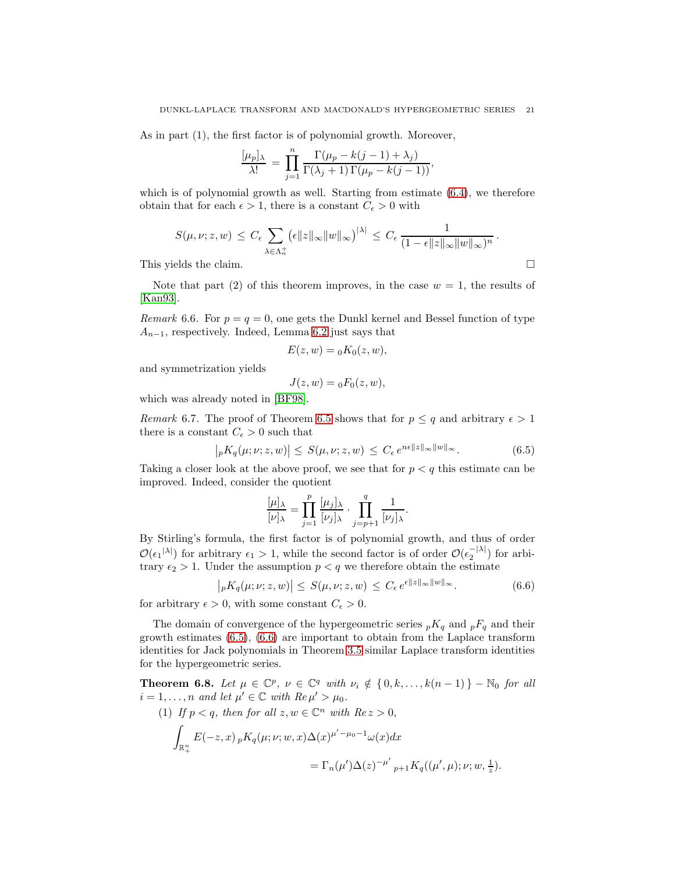As in part (1), the first factor is of polynomial growth. Moreover,

$$
\frac{[\mu_p]_{\lambda}}{\lambda!} = \prod_{j=1}^n \frac{\Gamma(\mu_p - k(j-1) + \lambda_j)}{\Gamma(\lambda_j + 1) \Gamma(\mu_p - k(j-1))},
$$

which is of polynomial growth as well. Starting from estimate  $(6.4)$ , we therefore obtain that for each  $\epsilon > 1$ , there is a constant  $C_{\epsilon} > 0$  with

$$
S(\mu, \nu; z, w) \leq C_{\epsilon} \sum_{\lambda \in \Lambda_n^+} (\epsilon \|z\|_{\infty} \|w\|_{\infty})^{|\lambda|} \leq C_{\epsilon} \frac{1}{(1 - \epsilon \|z\|_{\infty} \|w\|_{\infty})^n}.
$$
  
This yields the claim.

Note that part (2) of this theorem improves, in the case  $w = 1$ , the results of [\[Kan93\]](#page-26-6).

<span id="page-20-0"></span>*Remark* 6.6. For  $p = q = 0$ , one gets the Dunkl kernel and Bessel function of type  $A_{n-1}$ , respectively. Indeed, Lemma [6.2](#page-17-2) just says that

$$
E(z, w) = {}_0K_0(z, w),
$$

and symmetrization yields

$$
J(z, w) = {}_0F_0(z, w),
$$

which was already noted in [\[BF98\]](#page-26-9).

<span id="page-20-1"></span> $\overline{\phantom{a}}$  $\overline{\phantom{a}}$ 

*Remark* 6.7. The proof of Theorem [6.5](#page-18-0) shows that for  $p \leq q$  and arbitrary  $\epsilon > 1$ there is a constant  $C_\epsilon>0$  such that

$$
pK_q(\mu;\nu;z,w)| \leq S(\mu,\nu;z,w) \leq C_{\epsilon} e^{n\epsilon ||z||_{\infty} ||w||_{\infty}}.
$$
 (6.5)

Taking a closer look at the above proof, we see that for  $p < q$  this estimate can be improved. Indeed, consider the quotient

$$
\frac{[\mu]_{\lambda}}{[\nu]_{\lambda}} = \prod_{j=1}^{p} \frac{[\mu_{j}]_{\lambda}}{[\nu_{j}]_{\lambda}} \cdot \prod_{j=p+1}^{q} \frac{1}{[\nu_{j}]_{\lambda}}.
$$

By Stirling's formula, the first factor is of polynomial growth, and thus of order  $\mathcal{O}(\epsilon_1^{|\lambda|})$  for arbitrary  $\epsilon_1 > 1$ , while the second factor is of order  $\mathcal{O}(\epsilon_2^{-|\lambda|})$  for arbitrary  $\epsilon_2 > 1$ . Under the assumption  $p < q$  we therefore obtain the estimate

<span id="page-20-2"></span>
$$
\left| {}_{p}K_{q}(\mu;\nu;z,w) \right| \leq S(\mu,\nu;z,w) \leq C_{\epsilon} e^{\epsilon \|z\|_{\infty} \|w\|_{\infty}}.
$$
 (6.6)

for arbitrary  $\epsilon > 0$ , with some constant  $C_{\epsilon} > 0$ .

The domain of convergence of the hypergeometric series  $pK_q$  and  $pF_q$  and their growth estimates [\(6.5\)](#page-20-1), [\(6.6\)](#page-20-2) are important to obtain from the Laplace transform identities for Jack polynomials in Theorem [3.5](#page-11-1) similar Laplace transform identities for the hypergeometric series.

<span id="page-20-3"></span>**Theorem 6.8.** Let  $\mu \in \mathbb{C}^p$ ,  $\nu \in \mathbb{C}^q$  with  $\nu_i \notin \{0, k, \ldots, k(n-1)\}$  –  $\mathbb{N}_0$  for all  $i = 1, \ldots, n$  and let  $\mu' \in \mathbb{C}$  with  $Re \mu' > \mu_0$ .

(1) If  $p < q$ , then for all  $z, w \in \mathbb{C}^n$  with  $Re z > 0$ ,

$$
\begin{aligned} \int_{\mathbb{R}^n_+} E(-z,x) \, {}_pK_q(\mu;\nu;w,x) \Delta(x)^{\mu'-\mu_0-1} \omega(x) dx \\ &\quad = \Gamma_n(\mu') \Delta(z)^{-\mu'} \, {}_{p+1}K_q((\mu',\mu);\nu;w,\tfrac{1}{z}). \end{aligned}
$$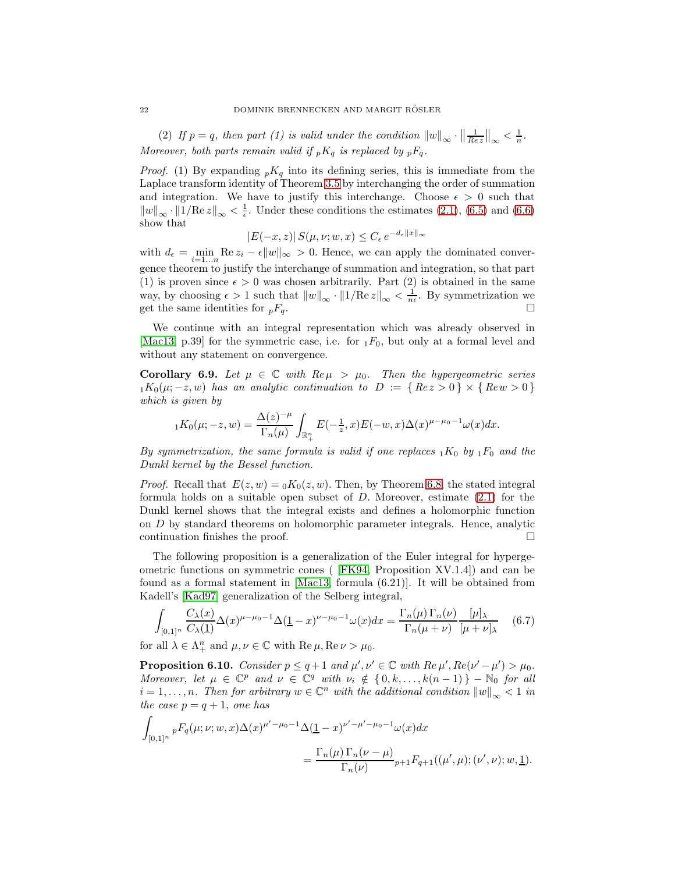(2) If  $p = q$ , then part (1) is valid under the condition  $||w||_{\infty} \cdot ||\frac{1}{Rez}||_{\infty} < \frac{1}{n}$ . Moreover, both parts remain valid if  $pK_q$  is replaced by  $pF_q$ .

*Proof.* (1) By expanding  $pK_q$  into its defining series, this is immediate from the Laplace transform identity of Theorem [3.5](#page-11-1) by interchanging the order of summation and integration. We have to justify this interchange. Choose  $\epsilon > 0$  such that  $\|w\|_{\infty} \cdot \|1/\text{Re } z\|_{\infty} < \frac{1}{\epsilon}$ . Under these conditions the estimates [\(2.1\)](#page-4-1), [\(6.5\)](#page-20-1) and [\(6.6\)](#page-20-2) show that

$$
|E(-x,z)|S(\mu,\nu;w,x)\leq C_{\epsilon}e^{-d_{\epsilon}||x||_{\infty}}
$$

with  $d_{\epsilon} = \min_{i=1...n} \text{Re } z_i - \epsilon ||w||_{\infty} > 0$ . Hence, we can apply the dominated convergence theorem to justify the interchange of summation and integration, so that part (1) is proven since  $\epsilon > 0$  was chosen arbitrarily. Part (2) is obtained in the same way, by choosing  $\epsilon > 1$  such that  $||w||_{\infty} \cdot ||1/\text{Re } z||_{\infty} < \frac{1}{n\epsilon}$ . By symmetrization we get the same identities for  ${}_{p}F_{q}$ .

We continue with an integral representation which was already observed in [\[Mac13,](#page-26-1) p.39] for the symmetric case, i.e. for  $_1F_0$ , but only at a formal level and without any statement on convergence.

Corollary 6.9. Let  $\mu \in \mathbb{C}$  with  $\Re \mu > \mu_0$ . Then the hypergeometric series  $_1K_0(\mu;-z,w)$  has an analytic continuation to  $D := \{ Re z > 0 \} \times \{ Re w > 0 \}$ which is given by

$$
{}_{1}K_{0}(\mu;-z,w) = \frac{\Delta(z)^{-\mu}}{\Gamma_{n}(\mu)} \int_{\mathbb{R}^{n}_{+}} E(-\frac{1}{z},x) E(-w,x) \Delta(x)^{\mu-\mu_{0}-1} \omega(x) dx.
$$

By symmetrization, the same formula is valid if one replaces  $_1K_0$  by  $_1F_0$  and the Dunkl kernel by the Bessel function.

*Proof.* Recall that  $E(z, w) = {}_0K_0(z, w)$ . Then, by Theorem [6.8,](#page-20-3) the stated integral formula holds on a suitable open subset of  $D$ . Moreover, estimate  $(2.1)$  for the Dunkl kernel shows that the integral exists and defines a holomorphic function on D by standard theorems on holomorphic parameter integrals. Hence, analytic continuation finishes the proof.

The following proposition is a generalization of the Euler integral for hypergeometric functions on symmetric cones ( [\[FK94,](#page-26-2) Proposition XV.1.4]) and can be found as a formal statement in [\[Mac13,](#page-26-1) formula (6.21)]. It will be obtained from Kadell's [\[Kad97\]](#page-26-23) generalization of the Selberg integral,

<span id="page-21-0"></span>
$$
\int_{[0,1]^n} \frac{C_{\lambda}(x)}{C_{\lambda}(\mathbf{1})} \Delta(x)^{\mu-\mu_0-1} \Delta(\mathbf{1}-x)^{\nu-\mu_0-1} \omega(x) dx = \frac{\Gamma_n(\mu) \Gamma_n(\nu)}{\Gamma_n(\mu+\nu)} \frac{[\mu]_{\lambda}}{[\mu+\nu]_{\lambda}} \quad (6.7)
$$

for all  $\lambda \in \Lambda_+^n$  and  $\mu, \nu \in \mathbb{C}$  with  $\text{Re}\,\mu, \text{Re}\,\nu > \mu_0$ .

**Proposition 6.10.** Consider  $p \leq q+1$  and  $\mu', \nu' \in \mathbb{C}$  with  $Re \mu', Re(\nu'-\mu') > \mu_0$ . Moreover, let  $\mu \in \mathbb{C}^p$  and  $\nu \in \mathbb{C}^q$  with  $\nu_i \notin \{0, k, \ldots, k(n-1)\} - \mathbb{N}_0$  for all  $i = 1, \ldots, n$ . Then for arbitrary  $w \in \mathbb{C}^n$  with the additional condition  $||w||_{\infty} < 1$  in the case  $p = q + 1$ , one has

$$
\int_{[0,1]^{n}} p F_{q}(\mu;\nu;w,x) \Delta(x)^{\mu'-\mu_{0}-1} \Delta(\underline{1}-x)^{\nu'-\mu'-\mu_{0}-1} \omega(x) dx
$$
  
= 
$$
\frac{\Gamma_{n}(\mu) \Gamma_{n}(\nu-\mu)}{\Gamma_{n}(\nu)} p_{+1} F_{q+1}((\mu',\mu);(\nu',\nu);w,\underline{1}).
$$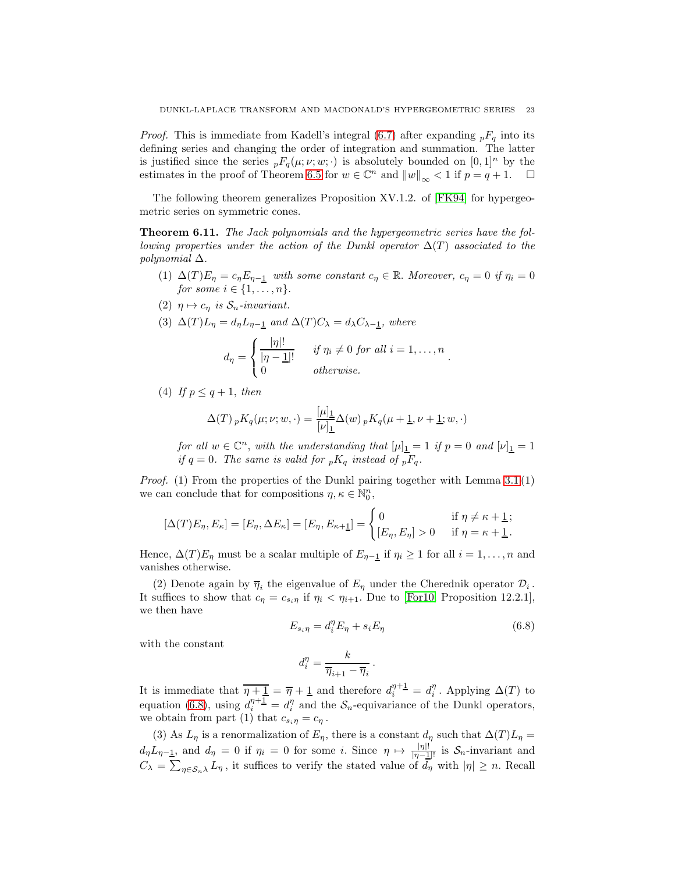*Proof.* This is immediate from Kadell's integral [\(6.7\)](#page-21-0) after expanding  ${}_{p}F_{q}$  into its defining series and changing the order of integration and summation. The latter is justified since the series  ${}_{p}F_{q}(\mu;\nu;w;\cdot)$  is absolutely bounded on  $[0,1]^{n}$  by the estimates in the proof of Theorem [6.5](#page-18-0) for  $w \in \mathbb{C}^n$  and  $||w||_{\infty} < 1$  if  $p = q + 1$ .  $\Box$ 

The following theorem generalizes Proposition XV.1.2. of [\[FK94\]](#page-26-2) for hypergeometric series on symmetric cones.

Theorem 6.11. The Jack polynomials and the hypergeometric series have the following properties under the action of the Dunkl operator  $\Delta(T)$  associated to the polynomial ∆.

- (1)  $\Delta(T)E_{\eta} = c_{\eta}E_{\eta-1}$  with some constant  $c_{\eta} \in \mathbb{R}$ . Moreover,  $c_{\eta} = 0$  if  $\eta_i = 0$ for some  $i \in \{1, \ldots, n\}.$
- (2)  $\eta \mapsto c_{\eta}$  is  $S_n$ -invariant.

(3) 
$$
\Delta(T)L_{\eta} = d_{\eta}L_{\eta-\underline{1}}
$$
 and  $\Delta(T)C_{\lambda} = d_{\lambda}C_{\lambda-\underline{1}}$ , where

$$
d_{\eta} = \begin{cases} \frac{|\eta|!}{|\eta - 1|!} & \text{if } \eta_i \neq 0 \text{ for all } i = 1, \dots, n \\ 0 & \text{otherwise.} \end{cases}
$$

(4) If 
$$
p \leq q+1
$$
, then

$$
\Delta(T) \, {}_{p}K_{q}(\mu;\nu;w,\cdot) = \frac{[\mu]_{1}}{[\nu]_{1}} \Delta(w) \, {}_{p}K_{q}(\mu+\underline{1},\nu+\underline{1};w,\cdot)
$$

for all  $w \in \mathbb{C}^n$ , with the understanding that  $[\mu]_1 = 1$  if  $p = 0$  and  $[\nu]_1 = 1$ if  $q = 0$ . The same is valid for  $pK_q$  instead of  $pF_q$ .

*Proof.* (1) From the properties of the Dunkl pairing together with Lemma  $3.1(1)$ we can conclude that for compositions  $\eta, \kappa \in \mathbb{N}_0^n$ ,

$$
[\Delta(T)E_{\eta}, E_{\kappa}] = [E_{\eta}, \Delta E_{\kappa}] = [E_{\eta}, E_{\kappa+1}] = \begin{cases} 0 & \text{if } \eta \neq \kappa + \underline{1}; \\ [E_{\eta}, E_{\eta}] > 0 & \text{if } \eta = \kappa + \underline{1}. \end{cases}
$$

Hence,  $\Delta(T)E_{\eta}$  must be a scalar multiple of  $E_{\eta-1}$  if  $\eta_i \geq 1$  for all  $i = 1, \ldots, n$  and vanishes otherwise.

(2) Denote again by  $\overline{\eta}_i$  the eigenvalue of  $E_\eta$  under the Cherednik operator  $\mathcal{D}_i$ . It suffices to show that  $c_{\eta} = c_{s_i \eta}$  if  $\eta_i < \eta_{i+1}$ . Due to [\[For10,](#page-26-19) Proposition 12.2.1], we then have

<span id="page-22-0"></span>
$$
E_{s_i\eta} = d_i^{\eta} E_{\eta} + s_i E_{\eta}
$$
\n(6.8)

with the constant

$$
d_i^{\eta} = \frac{k}{\overline{\eta}_{i+1} - \overline{\eta}_i}.
$$

It is immediate that  $\overline{\eta+1} = \overline{\eta} + 1$  and therefore  $d_i^{\eta+1} = d_i^{\eta}$ . Applying  $\Delta(T)$  to equation [\(6.8\)](#page-22-0), using  $d_i^{\eta + \underline{1}} = d_i^{\eta}$  and the  $S_n$ -equivariance of the Dunkl operators, we obtain from part (1) that  $c_{s_i\eta} = c_{\eta}$ .

(3) As  $L_{\eta}$  is a renormalization of  $E_{\eta}$ , there is a constant  $d_{\eta}$  such that  $\Delta(T)L_{\eta} =$  $d_{\eta}L_{\eta-\underline{1}},$  and  $d_{\eta}=0$  if  $\eta_i=0$  for some i. Since  $\eta \mapsto \frac{|\eta|!}{|\eta-\underline{1}|!}$  is  $\mathcal{S}_n$ -invariant and  $C_{\lambda} = \sum_{\eta \in S_n\lambda} L_{\eta}$ , it suffices to verify the stated value of  $d_{\eta}$  with  $|\eta| \geq n$ . Recall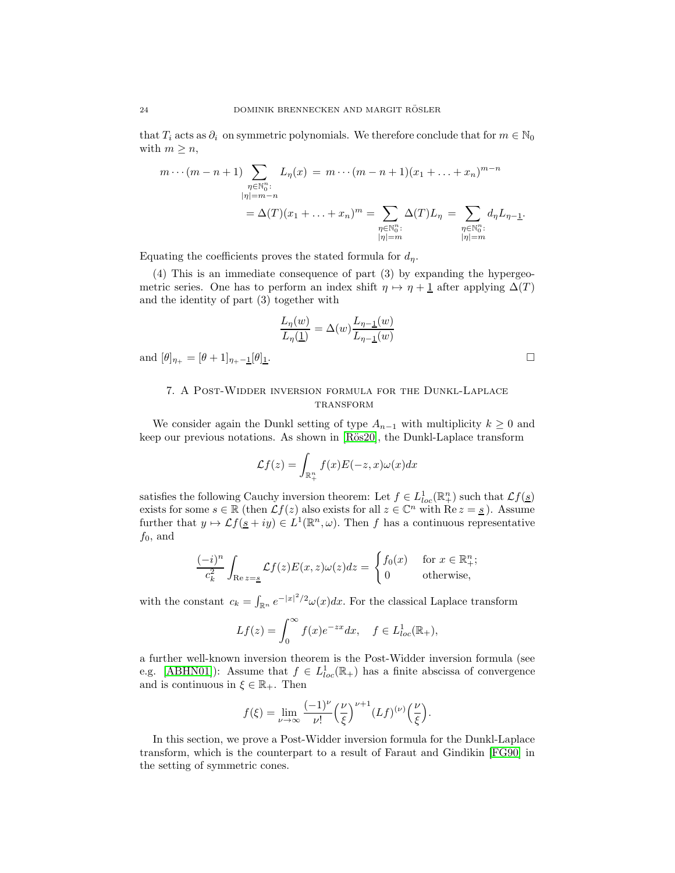that  $T_i$  acts as  $\partial_i$  on symmetric polynomials. We therefore conclude that for  $m \in \mathbb{N}_0$ with  $m \geq n$ ,

$$
m \cdots (m - n + 1) \sum_{\substack{\eta \in \mathbb{N}_0^n:\\|\eta| = m - n}} L_{\eta}(x) = m \cdots (m - n + 1)(x_1 + \dots + x_n)^{m - n}
$$

$$
= \Delta(T)(x_1 + \dots + x_n)^m = \sum_{\substack{\eta \in \mathbb{N}_0^n:\\|\eta| = m}} \Delta(T) L_{\eta} = \sum_{\substack{\eta \in \mathbb{N}_0^n:\\|\eta| = m}} d_{\eta} L_{\eta - 1}.
$$

Equating the coefficients proves the stated formula for  $d_n$ .

(4) This is an immediate consequence of part (3) by expanding the hypergeometric series. One has to perform an index shift  $\eta \mapsto \eta + 1$  after applying  $\Delta(T)$ and the identity of part (3) together with

$$
\frac{L_{\eta}(w)}{L_{\eta}(\underline{1})} = \Delta(w) \frac{L_{\eta-1}(w)}{L_{\eta-1}(w)}
$$
  
and  $[\theta]_{\eta_+} = [\theta + 1]_{\eta_+ - 1} [\theta]_{\underline{1}}.$ 

## 7. A Post-Widder inversion formula for the Dunkl-Laplace **TRANSFORM**

We consider again the Dunkl setting of type  $A_{n-1}$  with multiplicity  $k \geq 0$  and keep our previous notations. As shown in [Rös20], the Dunkl-Laplace transform

$$
\mathcal{L}f(z) = \int_{\mathbb{R}^n_+} f(x)E(-z,x)\omega(x)dx
$$

satisfies the following Cauchy inversion theorem: Let  $f \in L^1_{loc}(\mathbb{R}^n_+)$  such that  $\mathcal{L}f(\underline{s})$ exists for some  $s \in \mathbb{R}$  (then  $\mathcal{L}f(z)$  also exists for all  $z \in \mathbb{C}^n$  with  $\text{Re } z = \underline{s}$ ). Assume further that  $y \mapsto \mathcal{L}f(\underline{s} + iy) \in L^1(\mathbb{R}^n, \omega)$ . Then f has a continuous representative  $f_0$ , and

$$
\frac{(-i)^n}{c_k^2} \int_{\text{Re } z = \underline{s}} \mathcal{L}f(z)E(x, z)\omega(z)dz = \begin{cases} f_0(x) & \text{for } x \in \mathbb{R}^n_+; \\ 0 & \text{otherwise,} \end{cases}
$$

with the constant  $c_k = \int_{\mathbb{R}^n} e^{-|x|^2/2} \omega(x) dx$ . For the classical Laplace transform

$$
Lf(z) = \int_0^\infty f(x)e^{-zx}dx, \quad f \in L^1_{loc}(\mathbb{R}_+),
$$

a further well-known inversion theorem is the Post-Widder inversion formula (see e.g. [\[ABHN01\]](#page-26-24)): Assume that  $f \in L^1_{loc}(\mathbb{R}_+)$  has a finite abscissa of convergence and is continuous in  $\xi \in \mathbb{R}_+$ . Then

$$
f(\xi) = \lim_{\nu \to \infty} \frac{(-1)^{\nu}}{\nu!} \left(\frac{\nu}{\xi}\right)^{\nu+1} (Lf)^{(\nu)} \left(\frac{\nu}{\xi}\right).
$$

In this section, we prove a Post-Widder inversion formula for the Dunkl-Laplace transform, which is the counterpart to a result of Faraut and Gindikin [\[FG90\]](#page-26-12) in the setting of symmetric cones.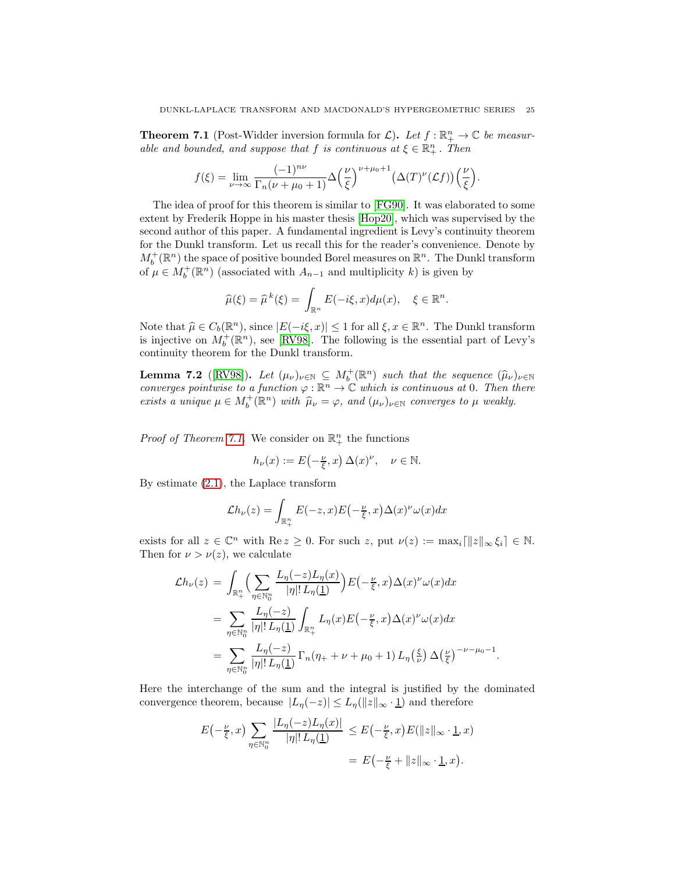<span id="page-24-0"></span>**Theorem 7.1** (Post-Widder inversion formula for  $\mathcal{L}$ ). Let  $f : \mathbb{R}^n_+ \to \mathbb{C}$  be measurable and bounded, and suppose that f is continuous at  $\xi \in \mathbb{R}_+^n$ . Then

$$
f(\xi) = \lim_{\nu \to \infty} \frac{(-1)^{n\nu}}{\Gamma_n(\nu + \mu_0 + 1)} \Delta \left(\frac{\nu}{\xi}\right)^{\nu + \mu_0 + 1} \left(\Delta(T)^{\nu}(\mathcal{L}f)\right) \left(\frac{\nu}{\xi}\right).
$$

The idea of proof for this theorem is similar to [\[FG90\]](#page-26-12). It was elaborated to some extent by Frederik Hoppe in his master thesis [\[Hop20\]](#page-26-25), which was supervised by the second author of this paper. A fundamental ingredient is Levy's continuity theorem for the Dunkl transform. Let us recall this for the reader's convenience. Denote by  $M_b^+(\mathbb R^n)$  the space of positive bounded Borel measures on  $\mathbb R^n$ . The Dunkl transform of  $\mu \in M_b^+(\mathbb{R}^n)$  (associated with  $A_{n-1}$  and multiplicity k) is given by

$$
\widehat{\mu}(\xi) = \widehat{\mu}^k(\xi) = \int_{\mathbb{R}^n} E(-i\xi, x) d\mu(x), \quad \xi \in \mathbb{R}^n.
$$

Note that  $\hat{\mu} \in C_b(\mathbb{R}^n)$ , since  $|E(-i\xi, x)| \leq 1$  for all  $\xi, x \in \mathbb{R}^n$ . The Dunkl transform is injective on  $M_b^+(\mathbb{R}^n)$ , see [\[RV98\]](#page-27-6). The following is the essential part of Levy's continuity theorem for the Dunkl transform.

<span id="page-24-1"></span>**Lemma 7.2** ([\[RV98\]](#page-27-6)). Let  $(\mu_{\nu})_{\nu \in \mathbb{N}} \subseteq M_b^+(\mathbb{R}^n)$  such that the sequence  $(\widehat{\mu}_{\nu})_{\nu \in \mathbb{N}}$  converges pointwise to a function  $\varphi : \mathbb{R}^n \to \mathbb{C}$  which is continuous at 0. Then there exists a unique  $\mu \in M_b^+(\mathbb{R}^n)$  with  $\widehat{\mu}_{\nu} = \varphi$ , and  $(\mu_{\nu})_{\nu \in \mathbb{N}}$  converges to  $\mu$  weakly.

*Proof of Theorem [7.1.](#page-24-0)* We consider on  $\mathbb{R}^n_+$  the functions

$$
h_{\nu}(x) := E\left(-\frac{\nu}{\xi}, x\right) \Delta(x)^{\nu}, \quad \nu \in \mathbb{N}.
$$

By estimate [\(2.1\)](#page-4-1), the Laplace transform

$$
\mathcal{L}h_{\nu}(z) = \int_{\mathbb{R}^n_+} E(-z,x)E\left(-\frac{\nu}{\xi},x\right)\Delta(x)^{\nu}\omega(x)dx
$$

exists for all  $z \in \mathbb{C}^n$  with  $\text{Re } z \geq 0$ . For such  $z$ , put  $\nu(z) := \max_i \{||z||_{\infty} \xi_i\} \in \mathbb{N}$ . Then for  $\nu > \nu(z)$ , we calculate

$$
\mathcal{L}h_{\nu}(z) = \int_{\mathbb{R}_{+}^{n}} \Biggl( \sum_{\eta \in \mathbb{N}_{0}^{n}} \frac{L_{\eta}(-z)L_{\eta}(x)}{|\eta|! L_{\eta}(\underline{1})} \Biggr) E\left(-\frac{\nu}{\xi}, x\right) \Delta(x)^{\nu} \omega(x) dx
$$
  

$$
= \sum_{\eta \in \mathbb{N}_{0}^{n}} \frac{L_{\eta}(-z)}{|\eta|! L_{\eta}(\underline{1})} \int_{\mathbb{R}_{+}^{n}} L_{\eta}(x) E\left(-\frac{\nu}{\xi}, x\right) \Delta(x)^{\nu} \omega(x) dx
$$
  

$$
= \sum_{\eta \in \mathbb{N}_{0}^{n}} \frac{L_{\eta}(-z)}{|\eta|! L_{\eta}(\underline{1})} \Gamma_{n}(\eta_{+} + \nu + \mu_{0} + 1) L_{\eta}\left(\frac{\xi}{\nu}\right) \Delta\left(\frac{\nu}{\xi}\right)^{-\nu - \mu_{0} - 1}.
$$

Here the interchange of the sum and the integral is justified by the dominated convergence theorem, because  $|L_{\eta}(-z)| \leq L_{\eta}(\|z\|_{\infty} \cdot \mathbf{1})$  and therefore

$$
E\left(-\frac{\nu}{\xi},x\right)\sum_{\eta\in\mathbb{N}_0^n}\frac{|L_{\eta}(-z)L_{\eta}(x)|}{|\eta|!L_{\eta}(\underline{1})}\leq E\left(-\frac{\nu}{\xi},x\right)E(\|z\|_{\infty}\cdot\underline{1},x)
$$

$$
=E\left(-\frac{\nu}{\xi}+\|z\|_{\infty}\cdot\underline{1},x\right).
$$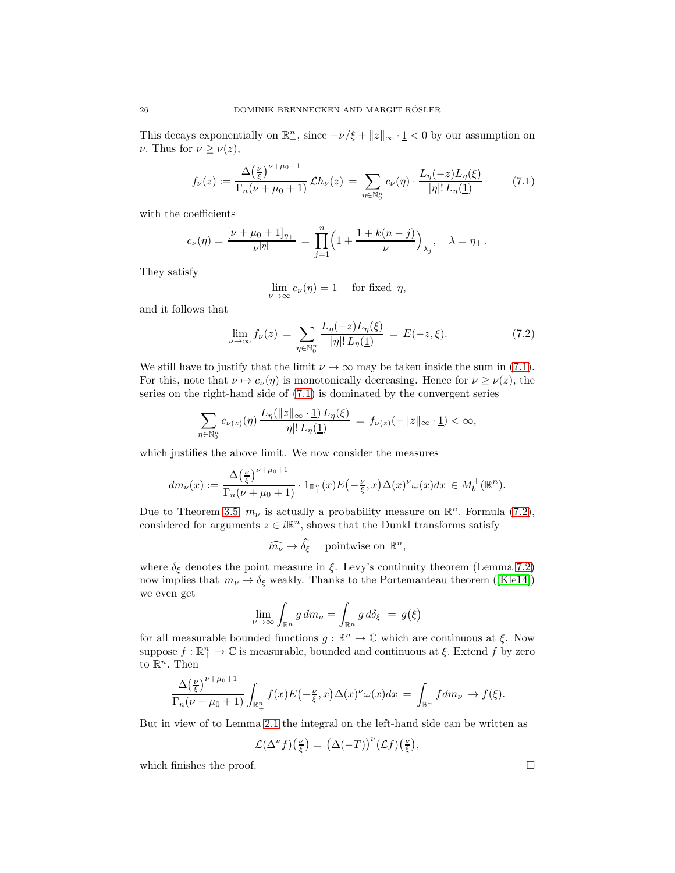This decays exponentially on  $\mathbb{R}^n_+$ , since  $-\nu/\xi + ||z||_{\infty} \cdot \mathbb{1} < 0$  by our assumption on *ν*. Thus for  $\nu \geq \nu(z)$ ,

<span id="page-25-0"></span>
$$
f_{\nu}(z) := \frac{\Delta\left(\frac{\nu}{\xi}\right)^{\nu+\mu_0+1}}{\Gamma_n(\nu+\mu_0+1)} \mathcal{L}h_{\nu}(z) = \sum_{\eta \in \mathbb{N}_0^n} c_{\nu}(\eta) \cdot \frac{L_{\eta}(-z)L_{\eta}(\xi)}{|\eta|! L_{\eta}(\underline{1})}
$$
(7.1)

with the coefficients

$$
c_{\nu}(\eta) = \frac{[\nu + \mu_0 + 1]_{\eta_+}}{\nu^{|\eta|}} = \prod_{j=1}^n \left(1 + \frac{1 + k(n-j)}{\nu}\right)_{\lambda_j}, \quad \lambda = \eta_+.
$$

They satisfy

$$
\lim_{\nu \to \infty} c_{\nu}(\eta) = 1 \quad \text{ for fixed } \eta,
$$

and it follows that

<span id="page-25-1"></span>
$$
\lim_{\nu \to \infty} f_{\nu}(z) = \sum_{\eta \in \mathbb{N}_0^n} \frac{L_{\eta}(-z)L_{\eta}(\xi)}{|\eta|! L_{\eta}(\mathbf{1})} = E(-z, \xi). \tag{7.2}
$$

We still have to justify that the limit  $\nu \to \infty$  may be taken inside the sum in [\(7.1\)](#page-25-0). For this, note that  $\nu \mapsto c_{\nu}(\eta)$  is monotonically decreasing. Hence for  $\nu \geq \nu(z)$ , the series on the right-hand side of [\(7.1\)](#page-25-0) is dominated by the convergent series

$$
\sum_{\eta \in \mathbb{N}_0^n} c_{\nu(z)}(\eta) \, \frac{L_\eta(\|z\|_\infty \cdot \underline{1}) \, L_\eta(\xi)}{|\eta|! \, L_\eta(\underline{1})} \, = \, f_{\nu(z)}(-\|z\|_\infty \cdot \underline{1}) < \infty,
$$

which justifies the above limit. We now consider the measures

$$
dm_{\nu}(x) := \frac{\Delta\left(\frac{\nu}{\xi}\right)^{\nu+\mu_0+1}}{\Gamma_n(\nu+\mu_0+1)} \cdot 1_{\mathbb{R}^n_+}(x) E\left(-\frac{\nu}{\xi},x\right) \Delta(x)^{\nu} \omega(x) dx \in M_b^+(\mathbb{R}^n).
$$

Due to Theorem [3.5,](#page-11-1)  $m_{\nu}$  is actually a probability measure on  $\mathbb{R}^{n}$ . Formula [\(7.2\)](#page-25-1), considered for arguments  $z \in i\mathbb{R}^n$ , shows that the Dunkl transforms satisfy

$$
\widehat{m_{\nu}} \to \widehat{\delta_{\xi}} \quad \text{ pointwise on } \mathbb{R}^n,
$$

where  $\delta_{\xi}$  denotes the point measure in  $\xi$ . Levy's continuity theorem (Lemma [7.2\)](#page-24-1) nowimplies that  $m_{\nu} \rightarrow \delta_{\xi}$  weakly. Thanks to the Portemanteau theorem ([\[Kle14\]](#page-26-26)) we even get

$$
\lim_{\nu \to \infty} \int_{\mathbb{R}^n} g \, dm_\nu = \int_{\mathbb{R}^n} g \, d\delta_\xi = g(\xi)
$$

for all measurable bounded functions  $g : \mathbb{R}^n \to \mathbb{C}$  which are continuous at  $\xi$ . Now suppose  $f : \mathbb{R}^n_+ \to \mathbb{C}$  is measurable, bounded and continuous at  $\xi$ . Extend  $f$  by zero to  $\mathbb{R}^n$ . Then

$$
\frac{\Delta\left(\frac{\nu}{\xi}\right)^{\nu+\mu_0+1}}{\Gamma_n(\nu+\mu_0+1)}\int_{\mathbb{R}^n_+}f(x)E\left(-\frac{\nu}{\xi},x\right)\Delta(x)^{\nu}\omega(x)dx = \int_{\mathbb{R}^n}f dm_\nu \to f(\xi).
$$

But in view of to Lemma [2.1](#page-4-0) the integral on the left-hand side can be written as

$$
\mathcal{L}(\Delta^{\nu}f)\left(\frac{\nu}{\xi}\right) = (\Delta(-T))^{\nu}(\mathcal{L}f)\left(\frac{\nu}{\xi}\right),
$$

which finishes the proof.  $\Box$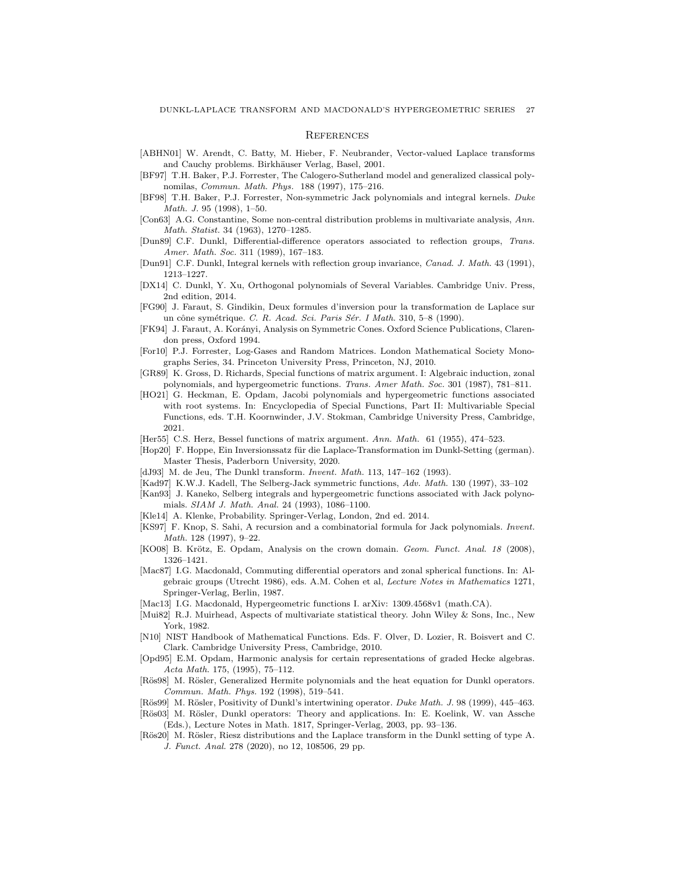#### **REFERENCES**

- <span id="page-26-24"></span>[ABHN01] W. Arendt, C. Batty, M. Hieber, F. Neubrander, Vector-valued Laplace transforms and Cauchy problems. Birkhäuser Verlag, Basel, 2001.
- <span id="page-26-8"></span>[BF97] T.H. Baker, P.J. Forrester, The Calogero-Sutherland model and generalized classical polynomilas, Commun. Math. Phys. 188 (1997), 175–216.
- <span id="page-26-9"></span>[BF98] T.H. Baker, P.J. Forrester, Non-symmetric Jack polynomials and integral kernels. Duke Math. J. 95 (1998), 1–50.
- <span id="page-26-4"></span>[Con63] A.G. Constantine, Some non-central distribution problems in multivariate analysis, Ann. Math. Statist. 34 (1963), 1270–1285.
- <span id="page-26-13"></span>[Dun89] C.F. Dunkl, Differential-difference operators associated to reflection groups, Trans. Amer. Math. Soc. 311 (1989), 167–183.
- <span id="page-26-21"></span>[Dun91] C.F. Dunkl, Integral kernels with reflection group invariance, Canad. J. Math. 43 (1991), 1213–1227.
- <span id="page-26-16"></span>[DX14] C. Dunkl, Y. Xu, Orthogonal polynomials of Several Variables. Cambridge Univ. Press, 2nd edition, 2014.
- <span id="page-26-12"></span>[FG90] J. Faraut, S. Gindikin, Deux formules d'inversion pour la transformation de Laplace sur un cône symétrique. C. R. Acad. Sci. Paris Sér. I Math. 310, 5–8 (1990).
- <span id="page-26-2"></span>[FK94] J. Faraut, A. Korányi, Analysis on Symmetric Cones. Oxford Science Publications, Clarendon press, Oxford 1994.
- <span id="page-26-19"></span>[For10] P.J. Forrester, Log-Gases and Random Matrices. London Mathematical Society Monographs Series, 34. Princeton University Press, Princeton, NJ, 2010.
- <span id="page-26-5"></span>[GR89] K. Gross, D. Richards, Special functions of matrix argument. I: Algebraic induction, zonal polynomials, and hypergeometric functions. Trans. Amer Math. Soc. 301 (1987), 781–811.
- <span id="page-26-17"></span>[HO21] G. Heckman, E. Opdam, Jacobi polynomials and hypergeometric functions associated with root systems. In: Encyclopedia of Special Functions, Part II: Multivariable Special Functions, eds. T.H. Koornwinder, J.V. Stokman, Cambridge University Press, Cambridge, 2021.
- <span id="page-26-3"></span>[Her55] C.S. Herz, Bessel functions of matrix argument. Ann. Math. 61 (1955), 474–523.
- <span id="page-26-25"></span>[Hop20] F. Hoppe, Ein Inversionssatz für die Laplace-Transformation im Dunkl-Setting (german). Master Thesis, Paderborn University, 2020.
- <span id="page-26-14"></span>[dJ93] M. de Jeu, The Dunkl transform. *Invent. Math.* 113, 147-162 (1993).
- <span id="page-26-23"></span>[Kad97] K.W.J. Kadell, The Selberg-Jack symmetric functions, Adv. Math. 130 (1997), 33-102
- <span id="page-26-6"></span>[Kan93] J. Kaneko, Selberg integrals and hypergeometric functions associated with Jack polynomials. SIAM J. Math. Anal. 24 (1993), 1086–1100.
- <span id="page-26-26"></span>[Kle14] A. Klenke, Probability. Springer-Verlag, London, 2nd ed. 2014.
- <span id="page-26-11"></span>[KS97] F. Knop, S. Sahi, A recursion and a combinatorial formula for Jack polynomials. Invent. Math. 128 (1997), 9–22.
- <span id="page-26-18"></span>[KO08] B. Krötz, E. Opdam, Analysis on the crown domain. Geom. Funct. Anal. 18 (2008), 1326–1421.
- [Mac87] I.G. Macdonald, Commuting differential operators and zonal spherical functions. In: Algebraic groups (Utrecht 1986), eds. A.M. Cohen et al, Lecture Notes in Mathematics 1271, Springer-Verlag, Berlin, 1987.
- <span id="page-26-1"></span>[Mac13] I.G. Macdonald, Hypergeometric functions I. arXiv: 1309.4568v1 (math.CA).
- <span id="page-26-7"></span>[Mui82] R.J. Muirhead, Aspects of multivariate statistical theory. John Wiley & Sons, Inc., New York, 1982.
- <span id="page-26-20"></span>[N10] NIST Handbook of Mathematical Functions. Eds. F. Olver, D. Lozier, R. Boisvert and C. Clark. Cambridge University Press, Cambridge, 2010.
- <span id="page-26-10"></span>[Opd95] E.M. Opdam, Harmonic analysis for certain representations of graded Hecke algebras. Acta Math. 175, (1995), 75–112.
- <span id="page-26-22"></span>[Rös98] M. Rösler, Generalized Hermite polynomials and the heat equation for Dunkl operators. Commun. Math. Phys. 192 (1998), 519–541.
- [Rös99] M. Rösler, Positivity of Dunkl's intertwining operator. Duke Math. J. 98 (1999), 445–463.
- <span id="page-26-15"></span>[Rös03] M. Rösler, Dunkl operators: Theory and applications. In: E. Koelink, W. van Assche (Eds.), Lecture Notes in Math. 1817, Springer-Verlag, 2003, pp. 93–136.
- <span id="page-26-0"></span>[Rös20] M. Rösler, Riesz distributions and the Laplace transform in the Dunkl setting of type A. J. Funct. Anal. 278 (2020), no 12, 108506, 29 pp.